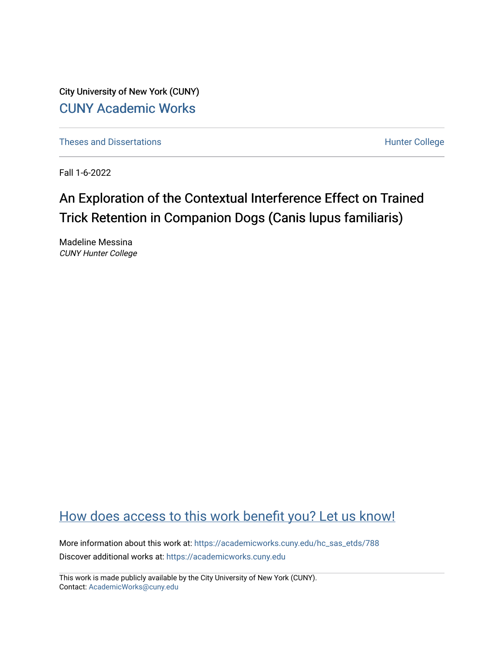City University of New York (CUNY) [CUNY Academic Works](https://academicworks.cuny.edu/) 

[Theses and Dissertations](https://academicworks.cuny.edu/hc_sas_etds) **Hunter College** 

Fall 1-6-2022

# An Exploration of the Contextual Interference Effect on Trained Trick Retention in Companion Dogs (Canis lupus familiaris)

Madeline Messina CUNY Hunter College

## [How does access to this work benefit you? Let us know!](http://ols.cuny.edu/academicworks/?ref=https://academicworks.cuny.edu/hc_sas_etds/788)

More information about this work at: [https://academicworks.cuny.edu/hc\\_sas\\_etds/788](https://academicworks.cuny.edu/hc_sas_etds/788)  Discover additional works at: [https://academicworks.cuny.edu](https://academicworks.cuny.edu/?)

This work is made publicly available by the City University of New York (CUNY). Contact: [AcademicWorks@cuny.edu](mailto:AcademicWorks@cuny.edu)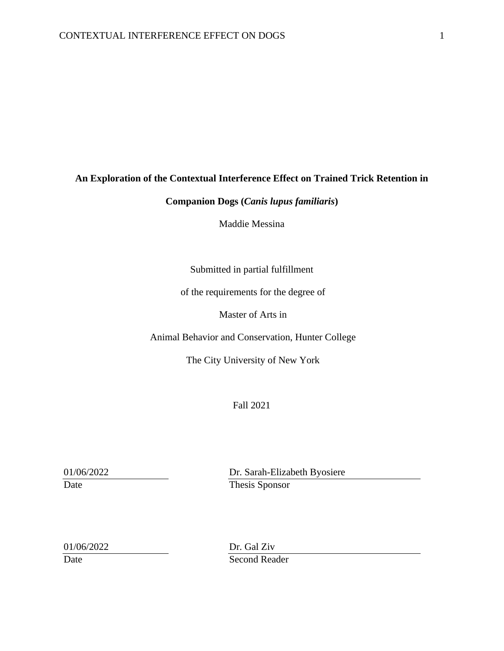#### **An Exploration of the Contextual Interference Effect on Trained Trick Retention in**

### **Companion Dogs (***Canis lupus familiaris***)**

Maddie Messina

Submitted in partial fulfillment

of the requirements for the degree of

Master of Arts in

Animal Behavior and Conservation, Hunter College

The City University of New York

Fall 2021

01/06/2022 Dr. Sarah-Elizabeth Byosiere Date Thesis Sponsor

01/06/2022 Dr. Gal Ziv Date Second Reader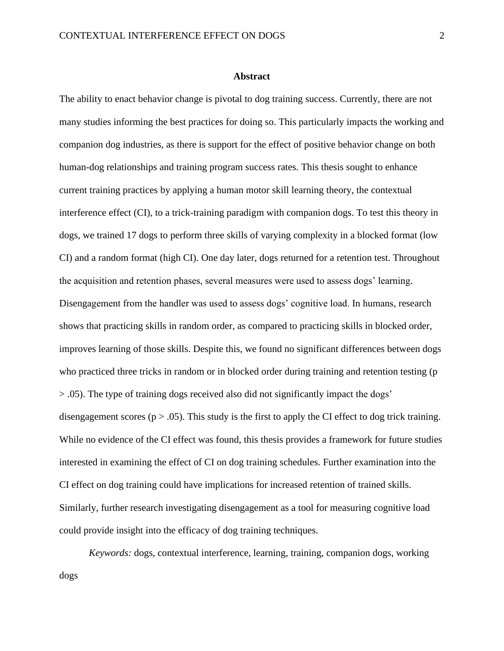#### **Abstract**

The ability to enact behavior change is pivotal to dog training success. Currently, there are not many studies informing the best practices for doing so. This particularly impacts the working and companion dog industries, as there is support for the effect of positive behavior change on both human-dog relationships and training program success rates. This thesis sought to enhance current training practices by applying a human motor skill learning theory, the contextual interference effect (CI), to a trick-training paradigm with companion dogs. To test this theory in dogs, we trained 17 dogs to perform three skills of varying complexity in a blocked format (low CI) and a random format (high CI). One day later, dogs returned for a retention test. Throughout the acquisition and retention phases, several measures were used to assess dogs' learning. Disengagement from the handler was used to assess dogs' cognitive load. In humans, research shows that practicing skills in random order, as compared to practicing skills in blocked order, improves learning of those skills. Despite this, we found no significant differences between dogs who practiced three tricks in random or in blocked order during training and retention testing (p > .05). The type of training dogs received also did not significantly impact the dogs' disengagement scores ( $p > .05$ ). This study is the first to apply the CI effect to dog trick training. While no evidence of the CI effect was found, this thesis provides a framework for future studies interested in examining the effect of CI on dog training schedules. Further examination into the CI effect on dog training could have implications for increased retention of trained skills. Similarly, further research investigating disengagement as a tool for measuring cognitive load could provide insight into the efficacy of dog training techniques.

*Keywords:* dogs, contextual interference, learning, training, companion dogs, working dogs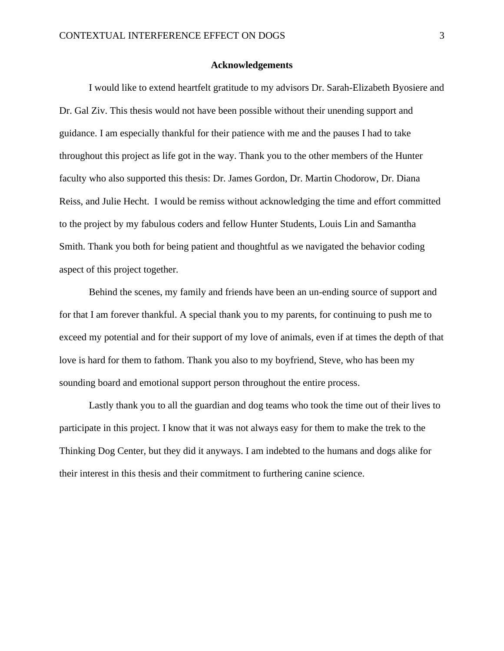#### **Acknowledgements**

I would like to extend heartfelt gratitude to my advisors Dr. Sarah-Elizabeth Byosiere and Dr. Gal Ziv. This thesis would not have been possible without their unending support and guidance. I am especially thankful for their patience with me and the pauses I had to take throughout this project as life got in the way. Thank you to the other members of the Hunter faculty who also supported this thesis: Dr. James Gordon, Dr. Martin Chodorow, Dr. Diana Reiss, and Julie Hecht. I would be remiss without acknowledging the time and effort committed to the project by my fabulous coders and fellow Hunter Students, Louis Lin and Samantha Smith. Thank you both for being patient and thoughtful as we navigated the behavior coding aspect of this project together.

Behind the scenes, my family and friends have been an un-ending source of support and for that I am forever thankful. A special thank you to my parents, for continuing to push me to exceed my potential and for their support of my love of animals, even if at times the depth of that love is hard for them to fathom. Thank you also to my boyfriend, Steve, who has been my sounding board and emotional support person throughout the entire process.

Lastly thank you to all the guardian and dog teams who took the time out of their lives to participate in this project. I know that it was not always easy for them to make the trek to the Thinking Dog Center, but they did it anyways. I am indebted to the humans and dogs alike for their interest in this thesis and their commitment to furthering canine science.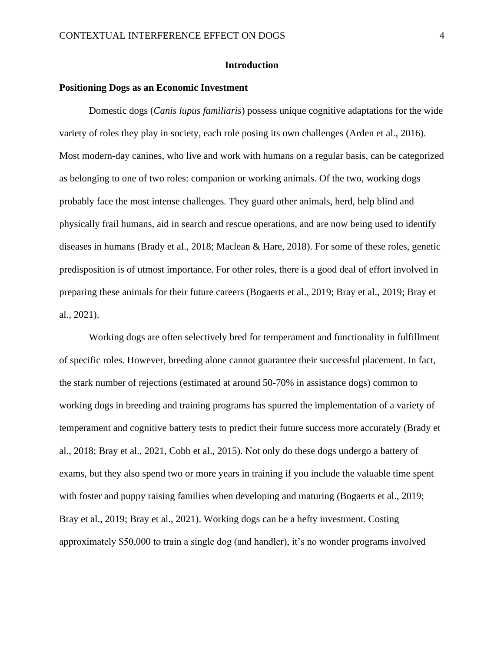#### **Introduction**

#### **Positioning Dogs as an Economic Investment**

Domestic dogs (*Canis lupus familiaris*) possess unique cognitive adaptations for the wide variety of roles they play in society, each role posing its own challenges (Arden et al., 2016). Most modern-day canines, who live and work with humans on a regular basis, can be categorized as belonging to one of two roles: companion or working animals. Of the two, working dogs probably face the most intense challenges. They guard other animals, herd, help blind and physically frail humans, aid in search and rescue operations, and are now being used to identify diseases in humans (Brady et al., 2018; Maclean & Hare, 2018). For some of these roles, genetic predisposition is of utmost importance. For other roles, there is a good deal of effort involved in preparing these animals for their future careers (Bogaerts et al., 2019; Bray et al., 2019; Bray et al., 2021).

Working dogs are often selectively bred for temperament and functionality in fulfillment of specific roles. However, breeding alone cannot guarantee their successful placement. In fact, the stark number of rejections (estimated at around 50-70% in assistance dogs) common to working dogs in breeding and training programs has spurred the implementation of a variety of temperament and cognitive battery tests to predict their future success more accurately (Brady et al., 2018; Bray et al., 2021, Cobb et al., 2015). Not only do these dogs undergo a battery of exams, but they also spend two or more years in training if you include the valuable time spent with foster and puppy raising families when developing and maturing (Bogaerts et al., 2019; Bray et al., 2019; Bray et al., 2021). Working dogs can be a hefty investment. Costing approximately \$50,000 to train a single dog (and handler), it's no wonder programs involved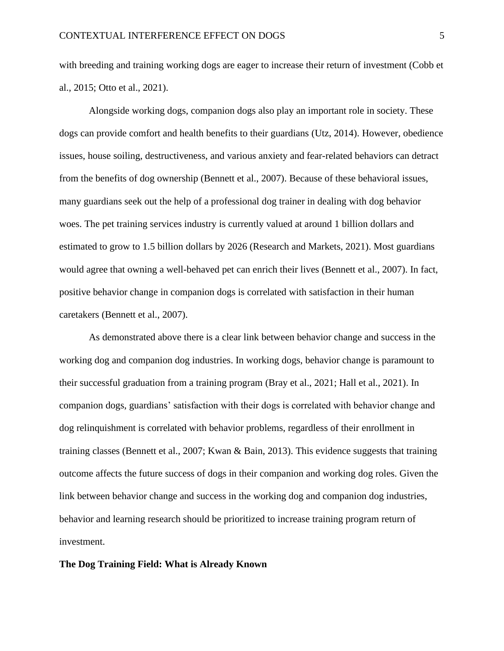with breeding and training working dogs are eager to increase their return of investment (Cobb et al., 2015; Otto et al., 2021).

Alongside working dogs, companion dogs also play an important role in society. These dogs can provide comfort and health benefits to their guardians (Utz, 2014). However, obedience issues, house soiling, destructiveness, and various anxiety and fear-related behaviors can detract from the benefits of dog ownership (Bennett et al., 2007). Because of these behavioral issues, many guardians seek out the help of a professional dog trainer in dealing with dog behavior woes. The pet training services industry is currently valued at around 1 billion dollars and estimated to grow to 1.5 billion dollars by 2026 (Research and Markets, 2021). Most guardians would agree that owning a well-behaved pet can enrich their lives (Bennett et al., 2007). In fact, positive behavior change in companion dogs is correlated with satisfaction in their human caretakers (Bennett et al., 2007).

As demonstrated above there is a clear link between behavior change and success in the working dog and companion dog industries. In working dogs, behavior change is paramount to their successful graduation from a training program (Bray et al., 2021; Hall et al., 2021). In companion dogs, guardians' satisfaction with their dogs is correlated with behavior change and dog relinquishment is correlated with behavior problems, regardless of their enrollment in training classes (Bennett et al., 2007; Kwan & Bain, 2013). This evidence suggests that training outcome affects the future success of dogs in their companion and working dog roles. Given the link between behavior change and success in the working dog and companion dog industries, behavior and learning research should be prioritized to increase training program return of investment.

#### **The Dog Training Field: What is Already Known**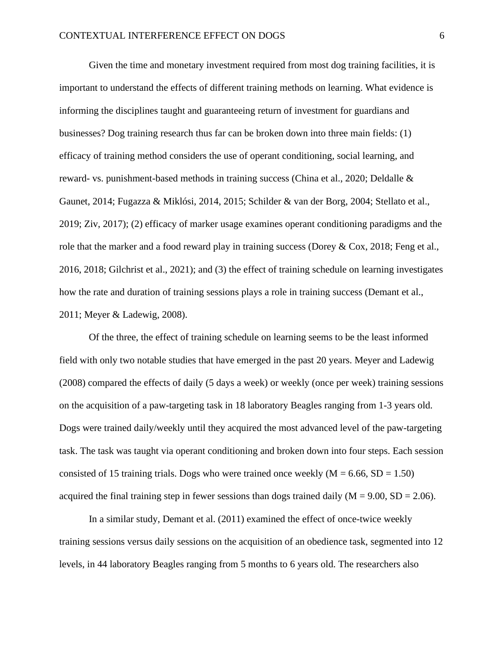Given the time and monetary investment required from most dog training facilities, it is important to understand the effects of different training methods on learning. What evidence is informing the disciplines taught and guaranteeing return of investment for guardians and businesses? Dog training research thus far can be broken down into three main fields: (1) efficacy of training method considers the use of operant conditioning, social learning, and reward- vs. punishment-based methods in training success (China et al., 2020; Deldalle & Gaunet, 2014; Fugazza & Miklósi, 2014, 2015; Schilder & van der Borg, 2004; Stellato et al., 2019; Ziv, 2017); (2) efficacy of marker usage examines operant conditioning paradigms and the role that the marker and a food reward play in training success (Dorey & Cox, 2018; Feng et al., 2016, 2018; Gilchrist et al., 2021); and (3) the effect of training schedule on learning investigates how the rate and duration of training sessions plays a role in training success (Demant et al., 2011; Meyer & Ladewig, 2008).

Of the three, the effect of training schedule on learning seems to be the least informed field with only two notable studies that have emerged in the past 20 years. Meyer and Ladewig (2008) compared the effects of daily (5 days a week) or weekly (once per week) training sessions on the acquisition of a paw-targeting task in 18 laboratory Beagles ranging from 1-3 years old. Dogs were trained daily/weekly until they acquired the most advanced level of the paw-targeting task. The task was taught via operant conditioning and broken down into four steps. Each session consisted of 15 training trials. Dogs who were trained once weekly  $(M = 6.66, SD = 1.50)$ acquired the final training step in fewer sessions than dogs trained daily  $(M = 9.00, SD = 2.06)$ .

In a similar study, Demant et al. (2011) examined the effect of once-twice weekly training sessions versus daily sessions on the acquisition of an obedience task, segmented into 12 levels, in 44 laboratory Beagles ranging from 5 months to 6 years old. The researchers also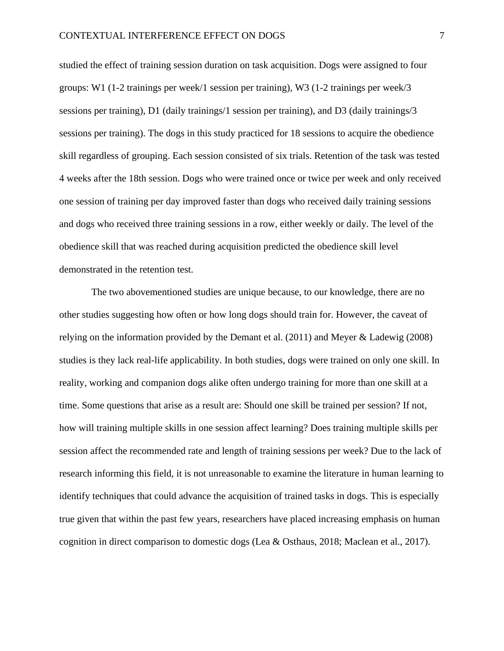studied the effect of training session duration on task acquisition. Dogs were assigned to four groups: W1 (1-2 trainings per week/1 session per training), W3 (1-2 trainings per week/3 sessions per training), D1 (daily trainings/1 session per training), and D3 (daily trainings/3 sessions per training). The dogs in this study practiced for 18 sessions to acquire the obedience skill regardless of grouping. Each session consisted of six trials. Retention of the task was tested 4 weeks after the 18th session. Dogs who were trained once or twice per week and only received one session of training per day improved faster than dogs who received daily training sessions and dogs who received three training sessions in a row, either weekly or daily. The level of the obedience skill that was reached during acquisition predicted the obedience skill level demonstrated in the retention test.

The two abovementioned studies are unique because, to our knowledge, there are no other studies suggesting how often or how long dogs should train for. However, the caveat of relying on the information provided by the Demant et al. (2011) and Meyer & Ladewig (2008) studies is they lack real-life applicability. In both studies, dogs were trained on only one skill. In reality, working and companion dogs alike often undergo training for more than one skill at a time. Some questions that arise as a result are: Should one skill be trained per session? If not, how will training multiple skills in one session affect learning? Does training multiple skills per session affect the recommended rate and length of training sessions per week? Due to the lack of research informing this field, it is not unreasonable to examine the literature in human learning to identify techniques that could advance the acquisition of trained tasks in dogs. This is especially true given that within the past few years, researchers have placed increasing emphasis on human cognition in direct comparison to domestic dogs (Lea & Osthaus, 2018; Maclean et al., 2017).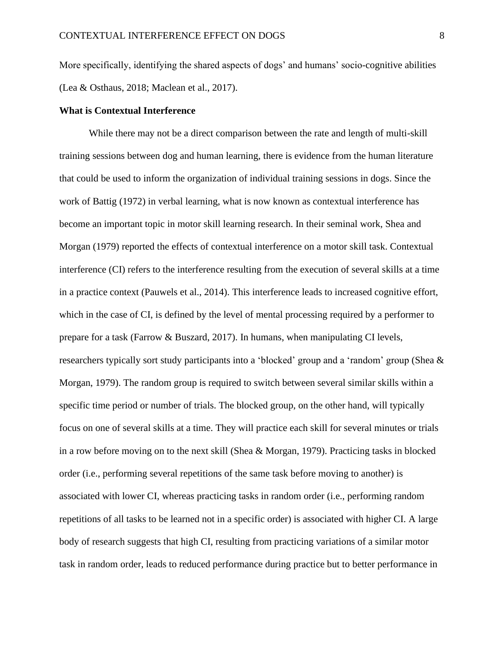More specifically, identifying the shared aspects of dogs' and humans' socio-cognitive abilities (Lea & Osthaus, 2018; Maclean et al., 2017).

#### **What is Contextual Interference**

While there may not be a direct comparison between the rate and length of multi-skill training sessions between dog and human learning, there is evidence from the human literature that could be used to inform the organization of individual training sessions in dogs. Since the work of Battig (1972) in verbal learning, what is now known as contextual interference has become an important topic in motor skill learning research. In their seminal work, Shea and Morgan (1979) reported the effects of contextual interference on a motor skill task. Contextual interference (CI) refers to the interference resulting from the execution of several skills at a time in a practice context (Pauwels et al., 2014). This interference leads to increased cognitive effort, which in the case of CI, is defined by the level of mental processing required by a performer to prepare for a task (Farrow & Buszard, 2017). In humans, when manipulating CI levels, researchers typically sort study participants into a 'blocked' group and a 'random' group (Shea & Morgan, 1979). The random group is required to switch between several similar skills within a specific time period or number of trials. The blocked group, on the other hand, will typically focus on one of several skills at a time. They will practice each skill for several minutes or trials in a row before moving on to the next skill (Shea & Morgan, 1979). Practicing tasks in blocked order (i.e., performing several repetitions of the same task before moving to another) is associated with lower CI, whereas practicing tasks in random order (i.e., performing random repetitions of all tasks to be learned not in a specific order) is associated with higher CI. A large body of research suggests that high CI, resulting from practicing variations of a similar motor task in random order, leads to reduced performance during practice but to better performance in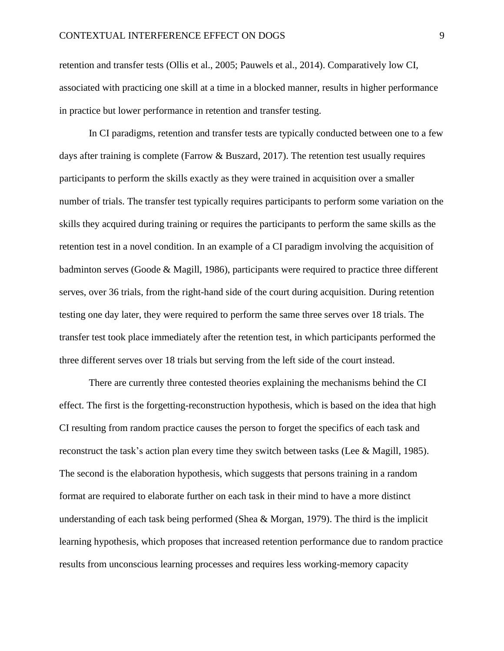retention and transfer tests (Ollis et al., 2005; Pauwels et al., 2014). Comparatively low CI, associated with practicing one skill at a time in a blocked manner, results in higher performance in practice but lower performance in retention and transfer testing.

In CI paradigms, retention and transfer tests are typically conducted between one to a few days after training is complete (Farrow & Buszard, 2017). The retention test usually requires participants to perform the skills exactly as they were trained in acquisition over a smaller number of trials. The transfer test typically requires participants to perform some variation on the skills they acquired during training or requires the participants to perform the same skills as the retention test in a novel condition. In an example of a CI paradigm involving the acquisition of badminton serves (Goode & Magill, 1986), participants were required to practice three different serves, over 36 trials, from the right-hand side of the court during acquisition. During retention testing one day later, they were required to perform the same three serves over 18 trials. The transfer test took place immediately after the retention test, in which participants performed the three different serves over 18 trials but serving from the left side of the court instead.

There are currently three contested theories explaining the mechanisms behind the CI effect. The first is the forgetting-reconstruction hypothesis, which is based on the idea that high CI resulting from random practice causes the person to forget the specifics of each task and reconstruct the task's action plan every time they switch between tasks (Lee & Magill, 1985). The second is the elaboration hypothesis, which suggests that persons training in a random format are required to elaborate further on each task in their mind to have a more distinct understanding of each task being performed (Shea & Morgan, 1979). The third is the implicit learning hypothesis, which proposes that increased retention performance due to random practice results from unconscious learning processes and requires less working-memory capacity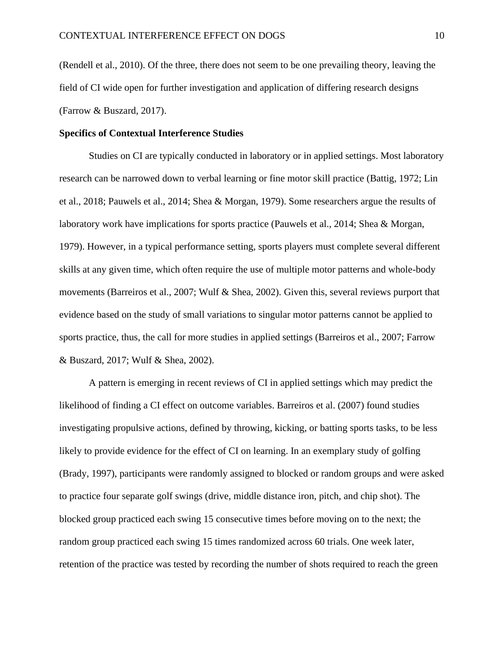(Rendell et al., 2010). Of the three, there does not seem to be one prevailing theory, leaving the field of CI wide open for further investigation and application of differing research designs (Farrow & Buszard, 2017).

#### **Specifics of Contextual Interference Studies**

Studies on CI are typically conducted in laboratory or in applied settings. Most laboratory research can be narrowed down to verbal learning or fine motor skill practice (Battig, 1972; Lin et al., 2018; Pauwels et al., 2014; Shea & Morgan, 1979). Some researchers argue the results of laboratory work have implications for sports practice (Pauwels et al., 2014; Shea & Morgan, 1979). However, in a typical performance setting, sports players must complete several different skills at any given time, which often require the use of multiple motor patterns and whole-body movements (Barreiros et al., 2007; Wulf & Shea, 2002). Given this, several reviews purport that evidence based on the study of small variations to singular motor patterns cannot be applied to sports practice, thus, the call for more studies in applied settings (Barreiros et al., 2007; Farrow & Buszard, 2017; Wulf & Shea, 2002).

A pattern is emerging in recent reviews of CI in applied settings which may predict the likelihood of finding a CI effect on outcome variables. Barreiros et al. (2007) found studies investigating propulsive actions, defined by throwing, kicking, or batting sports tasks, to be less likely to provide evidence for the effect of CI on learning. In an exemplary study of golfing (Brady, 1997), participants were randomly assigned to blocked or random groups and were asked to practice four separate golf swings (drive, middle distance iron, pitch, and chip shot). The blocked group practiced each swing 15 consecutive times before moving on to the next; the random group practiced each swing 15 times randomized across 60 trials. One week later, retention of the practice was tested by recording the number of shots required to reach the green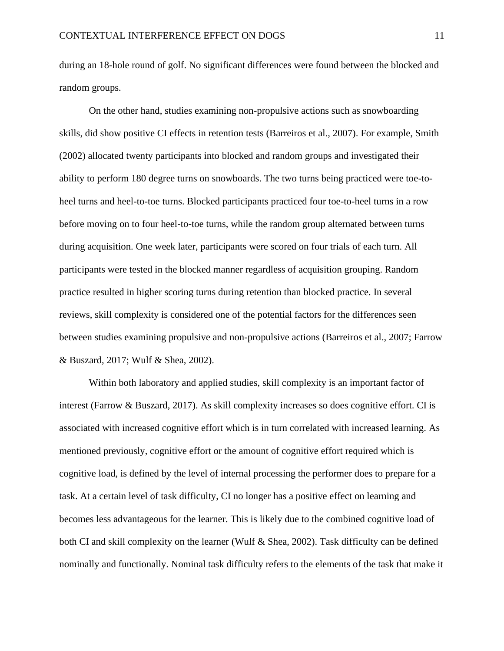during an 18-hole round of golf. No significant differences were found between the blocked and random groups.

On the other hand, studies examining non-propulsive actions such as snowboarding skills, did show positive CI effects in retention tests (Barreiros et al., 2007). For example, Smith (2002) allocated twenty participants into blocked and random groups and investigated their ability to perform 180 degree turns on snowboards. The two turns being practiced were toe-toheel turns and heel-to-toe turns. Blocked participants practiced four toe-to-heel turns in a row before moving on to four heel-to-toe turns, while the random group alternated between turns during acquisition. One week later, participants were scored on four trials of each turn. All participants were tested in the blocked manner regardless of acquisition grouping. Random practice resulted in higher scoring turns during retention than blocked practice. In several reviews, skill complexity is considered one of the potential factors for the differences seen between studies examining propulsive and non-propulsive actions (Barreiros et al., 2007; Farrow & Buszard, 2017; Wulf & Shea, 2002).

Within both laboratory and applied studies, skill complexity is an important factor of interest (Farrow & Buszard, 2017). As skill complexity increases so does cognitive effort. CI is associated with increased cognitive effort which is in turn correlated with increased learning. As mentioned previously, cognitive effort or the amount of cognitive effort required which is cognitive load, is defined by the level of internal processing the performer does to prepare for a task. At a certain level of task difficulty, CI no longer has a positive effect on learning and becomes less advantageous for the learner. This is likely due to the combined cognitive load of both CI and skill complexity on the learner (Wulf & Shea, 2002). Task difficulty can be defined nominally and functionally. Nominal task difficulty refers to the elements of the task that make it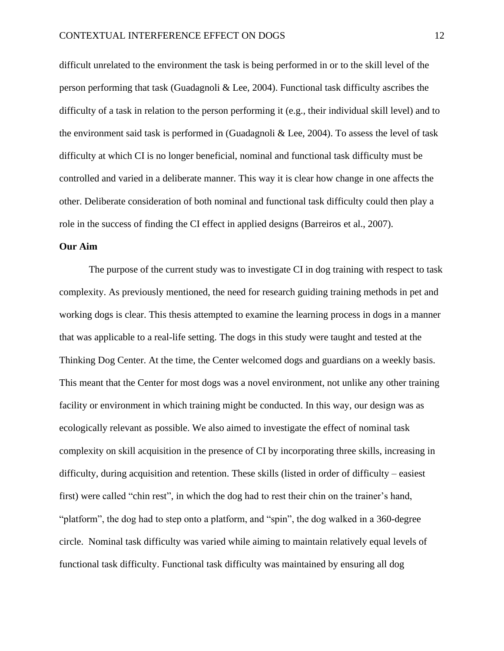difficult unrelated to the environment the task is being performed in or to the skill level of the person performing that task (Guadagnoli & Lee, 2004). Functional task difficulty ascribes the difficulty of a task in relation to the person performing it (e.g., their individual skill level) and to the environment said task is performed in (Guadagnoli & Lee, 2004). To assess the level of task difficulty at which CI is no longer beneficial, nominal and functional task difficulty must be controlled and varied in a deliberate manner. This way it is clear how change in one affects the other. Deliberate consideration of both nominal and functional task difficulty could then play a role in the success of finding the CI effect in applied designs (Barreiros et al., 2007).

#### **Our Aim**

The purpose of the current study was to investigate CI in dog training with respect to task complexity. As previously mentioned, the need for research guiding training methods in pet and working dogs is clear. This thesis attempted to examine the learning process in dogs in a manner that was applicable to a real-life setting. The dogs in this study were taught and tested at the Thinking Dog Center. At the time, the Center welcomed dogs and guardians on a weekly basis. This meant that the Center for most dogs was a novel environment, not unlike any other training facility or environment in which training might be conducted. In this way, our design was as ecologically relevant as possible. We also aimed to investigate the effect of nominal task complexity on skill acquisition in the presence of CI by incorporating three skills, increasing in difficulty, during acquisition and retention. These skills (listed in order of difficulty – easiest first) were called "chin rest", in which the dog had to rest their chin on the trainer's hand, "platform", the dog had to step onto a platform, and "spin", the dog walked in a 360-degree circle. Nominal task difficulty was varied while aiming to maintain relatively equal levels of functional task difficulty. Functional task difficulty was maintained by ensuring all dog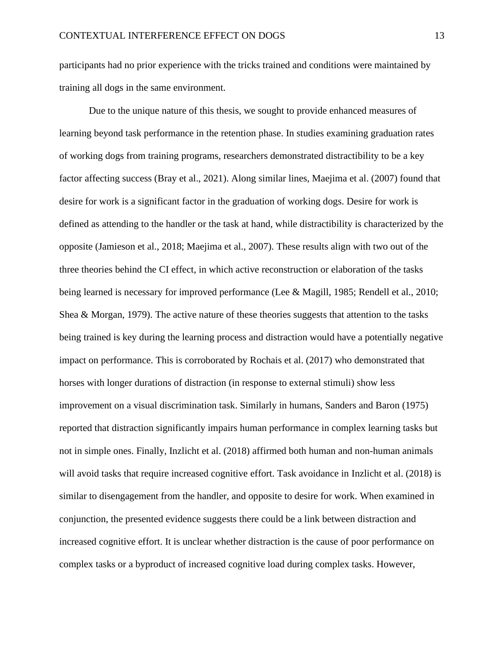participants had no prior experience with the tricks trained and conditions were maintained by training all dogs in the same environment.

Due to the unique nature of this thesis, we sought to provide enhanced measures of learning beyond task performance in the retention phase. In studies examining graduation rates of working dogs from training programs, researchers demonstrated distractibility to be a key factor affecting success (Bray et al., 2021). Along similar lines, Maejima et al. (2007) found that desire for work is a significant factor in the graduation of working dogs. Desire for work is defined as attending to the handler or the task at hand, while distractibility is characterized by the opposite (Jamieson et al., 2018; Maejima et al., 2007). These results align with two out of the three theories behind the CI effect, in which active reconstruction or elaboration of the tasks being learned is necessary for improved performance (Lee & Magill, 1985; Rendell et al., 2010; Shea & Morgan, 1979). The active nature of these theories suggests that attention to the tasks being trained is key during the learning process and distraction would have a potentially negative impact on performance. This is corroborated by Rochais et al. (2017) who demonstrated that horses with longer durations of distraction (in response to external stimuli) show less improvement on a visual discrimination task. Similarly in humans, Sanders and Baron (1975) reported that distraction significantly impairs human performance in complex learning tasks but not in simple ones. Finally, Inzlicht et al. (2018) affirmed both human and non-human animals will avoid tasks that require increased cognitive effort. Task avoidance in Inzlicht et al. (2018) is similar to disengagement from the handler, and opposite to desire for work. When examined in conjunction, the presented evidence suggests there could be a link between distraction and increased cognitive effort. It is unclear whether distraction is the cause of poor performance on complex tasks or a byproduct of increased cognitive load during complex tasks. However,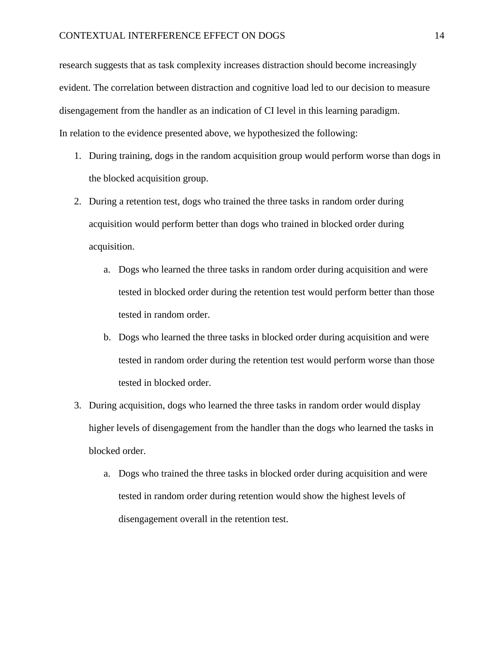research suggests that as task complexity increases distraction should become increasingly evident. The correlation between distraction and cognitive load led to our decision to measure disengagement from the handler as an indication of CI level in this learning paradigm. In relation to the evidence presented above, we hypothesized the following:

- 1. During training, dogs in the random acquisition group would perform worse than dogs in the blocked acquisition group.
- 2. During a retention test, dogs who trained the three tasks in random order during acquisition would perform better than dogs who trained in blocked order during acquisition.
	- a. Dogs who learned the three tasks in random order during acquisition and were tested in blocked order during the retention test would perform better than those tested in random order.
	- b. Dogs who learned the three tasks in blocked order during acquisition and were tested in random order during the retention test would perform worse than those tested in blocked order.
- 3. During acquisition, dogs who learned the three tasks in random order would display higher levels of disengagement from the handler than the dogs who learned the tasks in blocked order.
	- a. Dogs who trained the three tasks in blocked order during acquisition and were tested in random order during retention would show the highest levels of disengagement overall in the retention test.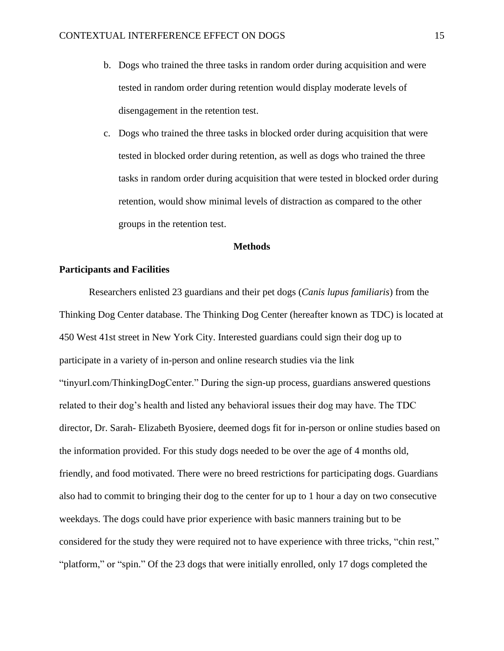- b. Dogs who trained the three tasks in random order during acquisition and were tested in random order during retention would display moderate levels of disengagement in the retention test.
- c. Dogs who trained the three tasks in blocked order during acquisition that were tested in blocked order during retention, as well as dogs who trained the three tasks in random order during acquisition that were tested in blocked order during retention, would show minimal levels of distraction as compared to the other groups in the retention test.

#### **Methods**

#### **Participants and Facilities**

Researchers enlisted 23 guardians and their pet dogs (*Canis lupus familiaris*) from the Thinking Dog Center database. The Thinking Dog Center (hereafter known as TDC) is located at 450 West 41st street in New York City. Interested guardians could sign their dog up to participate in a variety of in-person and online research studies via the link "tinyurl.com/ThinkingDogCenter." During the sign-up process, guardians answered questions related to their dog's health and listed any behavioral issues their dog may have. The TDC director, Dr. Sarah- Elizabeth Byosiere, deemed dogs fit for in-person or online studies based on the information provided. For this study dogs needed to be over the age of 4 months old, friendly, and food motivated. There were no breed restrictions for participating dogs. Guardians also had to commit to bringing their dog to the center for up to 1 hour a day on two consecutive weekdays. The dogs could have prior experience with basic manners training but to be considered for the study they were required not to have experience with three tricks, "chin rest," "platform," or "spin." Of the 23 dogs that were initially enrolled, only 17 dogs completed the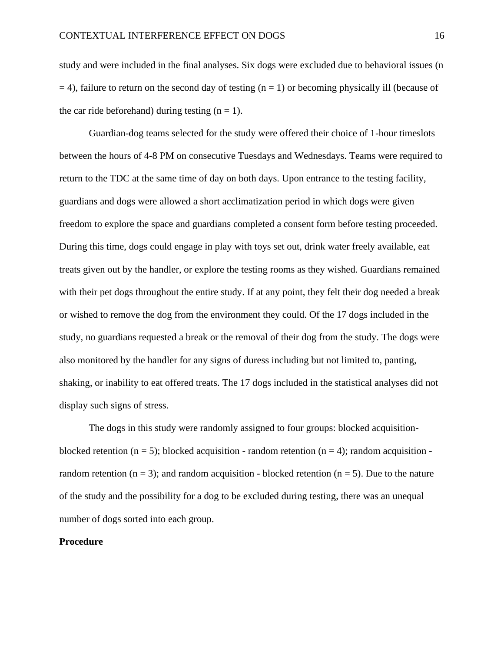study and were included in the final analyses. Six dogs were excluded due to behavioral issues (n  $=$  4), failure to return on the second day of testing (n = 1) or becoming physically ill (because of the car ride beforehand) during testing  $(n = 1)$ .

Guardian-dog teams selected for the study were offered their choice of 1-hour timeslots between the hours of 4-8 PM on consecutive Tuesdays and Wednesdays. Teams were required to return to the TDC at the same time of day on both days. Upon entrance to the testing facility, guardians and dogs were allowed a short acclimatization period in which dogs were given freedom to explore the space and guardians completed a consent form before testing proceeded. During this time, dogs could engage in play with toys set out, drink water freely available, eat treats given out by the handler, or explore the testing rooms as they wished. Guardians remained with their pet dogs throughout the entire study. If at any point, they felt their dog needed a break or wished to remove the dog from the environment they could. Of the 17 dogs included in the study, no guardians requested a break or the removal of their dog from the study. The dogs were also monitored by the handler for any signs of duress including but not limited to, panting, shaking, or inability to eat offered treats. The 17 dogs included in the statistical analyses did not display such signs of stress.

The dogs in this study were randomly assigned to four groups: blocked acquisitionblocked retention (n = 5); blocked acquisition - random retention (n = 4); random acquisition random retention ( $n = 3$ ); and random acquisition - blocked retention ( $n = 5$ ). Due to the nature of the study and the possibility for a dog to be excluded during testing, there was an unequal number of dogs sorted into each group.

#### **Procedure**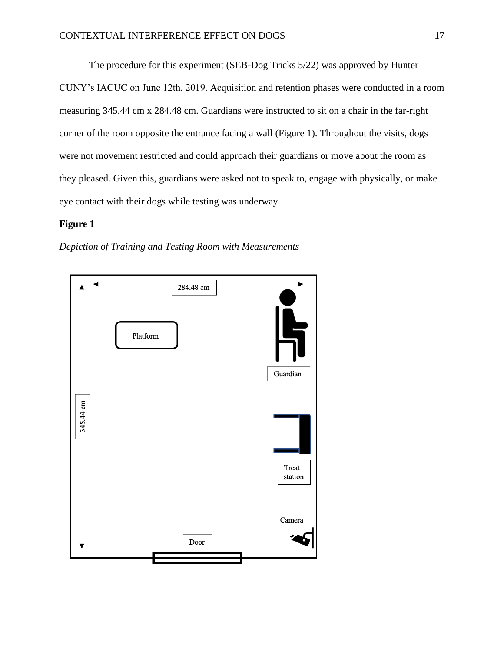The procedure for this experiment (SEB-Dog Tricks 5/22) was approved by Hunter CUNY's IACUC on June 12th, 2019. Acquisition and retention phases were conducted in a room measuring 345.44 cm x 284.48 cm. Guardians were instructed to sit on a chair in the far-right corner of the room opposite the entrance facing a wall (Figure 1). Throughout the visits, dogs were not movement restricted and could approach their guardians or move about the room as they pleased. Given this, guardians were asked not to speak to, engage with physically, or make eye contact with their dogs while testing was underway.

#### **Figure 1**

*Depiction of Training and Testing Room with Measurements*

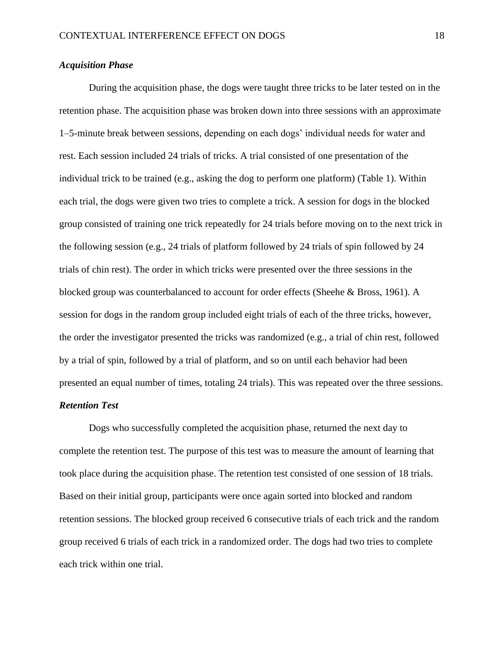#### *Acquisition Phase*

During the acquisition phase, the dogs were taught three tricks to be later tested on in the retention phase. The acquisition phase was broken down into three sessions with an approximate 1–5-minute break between sessions, depending on each dogs' individual needs for water and rest. Each session included 24 trials of tricks. A trial consisted of one presentation of the individual trick to be trained (e.g., asking the dog to perform one platform) (Table 1). Within each trial, the dogs were given two tries to complete a trick. A session for dogs in the blocked group consisted of training one trick repeatedly for 24 trials before moving on to the next trick in the following session (e.g., 24 trials of platform followed by 24 trials of spin followed by 24 trials of chin rest). The order in which tricks were presented over the three sessions in the blocked group was counterbalanced to account for order effects (Sheehe & Bross, 1961). A session for dogs in the random group included eight trials of each of the three tricks, however, the order the investigator presented the tricks was randomized (e.g., a trial of chin rest, followed by a trial of spin, followed by a trial of platform, and so on until each behavior had been presented an equal number of times, totaling 24 trials). This was repeated over the three sessions.

#### *Retention Test*

Dogs who successfully completed the acquisition phase, returned the next day to complete the retention test. The purpose of this test was to measure the amount of learning that took place during the acquisition phase. The retention test consisted of one session of 18 trials. Based on their initial group, participants were once again sorted into blocked and random retention sessions. The blocked group received 6 consecutive trials of each trick and the random group received 6 trials of each trick in a randomized order. The dogs had two tries to complete each trick within one trial.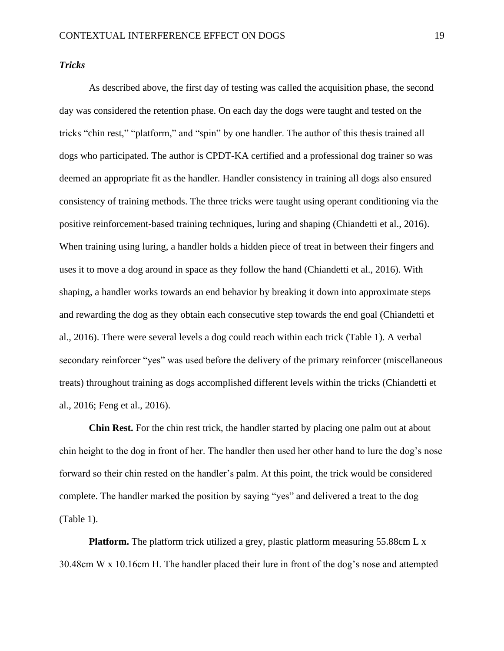*Tricks*

As described above, the first day of testing was called the acquisition phase, the second day was considered the retention phase. On each day the dogs were taught and tested on the tricks "chin rest," "platform," and "spin" by one handler. The author of this thesis trained all dogs who participated. The author is CPDT-KA certified and a professional dog trainer so was deemed an appropriate fit as the handler. Handler consistency in training all dogs also ensured consistency of training methods. The three tricks were taught using operant conditioning via the positive reinforcement-based training techniques, luring and shaping (Chiandetti et al., 2016). When training using luring, a handler holds a hidden piece of treat in between their fingers and uses it to move a dog around in space as they follow the hand (Chiandetti et al., 2016). With shaping, a handler works towards an end behavior by breaking it down into approximate steps and rewarding the dog as they obtain each consecutive step towards the end goal (Chiandetti et al., 2016). There were several levels a dog could reach within each trick (Table 1). A verbal secondary reinforcer "yes" was used before the delivery of the primary reinforcer (miscellaneous treats) throughout training as dogs accomplished different levels within the tricks (Chiandetti et al., 2016; Feng et al., 2016).

**Chin Rest.** For the chin rest trick, the handler started by placing one palm out at about chin height to the dog in front of her. The handler then used her other hand to lure the dog's nose forward so their chin rested on the handler's palm. At this point, the trick would be considered complete. The handler marked the position by saying "yes" and delivered a treat to the dog (Table 1).

**Platform.** The platform trick utilized a grey, plastic platform measuring 55.88cm L x 30.48cm W x 10.16cm H. The handler placed their lure in front of the dog's nose and attempted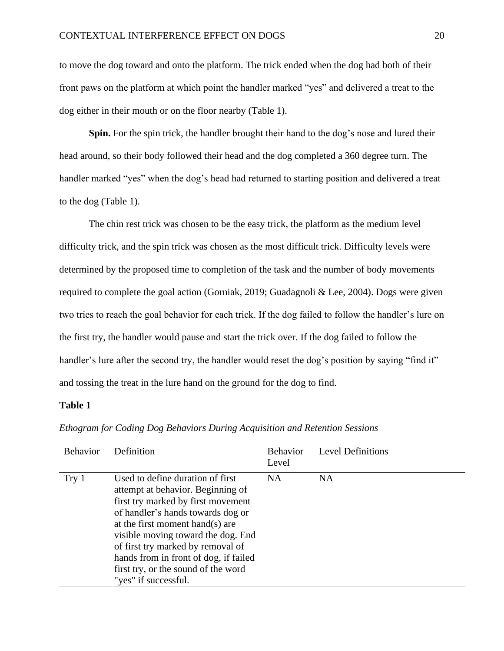to move the dog toward and onto the platform. The trick ended when the dog had both of their front paws on the platform at which point the handler marked "yes" and delivered a treat to the dog either in their mouth or on the floor nearby (Table 1).

**Spin.** For the spin trick, the handler brought their hand to the dog's nose and lured their head around, so their body followed their head and the dog completed a 360 degree turn. The handler marked "yes" when the dog's head had returned to starting position and delivered a treat to the dog (Table 1).

The chin rest trick was chosen to be the easy trick, the platform as the medium level difficulty trick, and the spin trick was chosen as the most difficult trick. Difficulty levels were determined by the proposed time to completion of the task and the number of body movements required to complete the goal action (Gorniak, 2019; Guadagnoli & Lee, 2004). Dogs were given two tries to reach the goal behavior for each trick. If the dog failed to follow the handler's lure on the first try, the handler would pause and start the trick over. If the dog failed to follow the handler's lure after the second try, the handler would reset the dog's position by saying "find it" and tossing the treat in the lure hand on the ground for the dog to find.

#### **Table 1**

| <b>Behavior</b> | Definition                                                                                                                                                                                                                                                                                                                                                             | <b>Behavior</b><br>Level | <b>Level Definitions</b> |
|-----------------|------------------------------------------------------------------------------------------------------------------------------------------------------------------------------------------------------------------------------------------------------------------------------------------------------------------------------------------------------------------------|--------------------------|--------------------------|
| Try 1           | Used to define duration of first<br>attempt at behavior. Beginning of<br>first try marked by first movement<br>of handler's hands towards dog or<br>at the first moment hand(s) are<br>visible moving toward the dog. End<br>of first try marked by removal of<br>hands from in front of dog, if failed<br>first try, or the sound of the word<br>"yes" if successful. | NA.                      | <b>NA</b>                |

*Ethogram for Coding Dog Behaviors During Acquisition and Retention Sessions*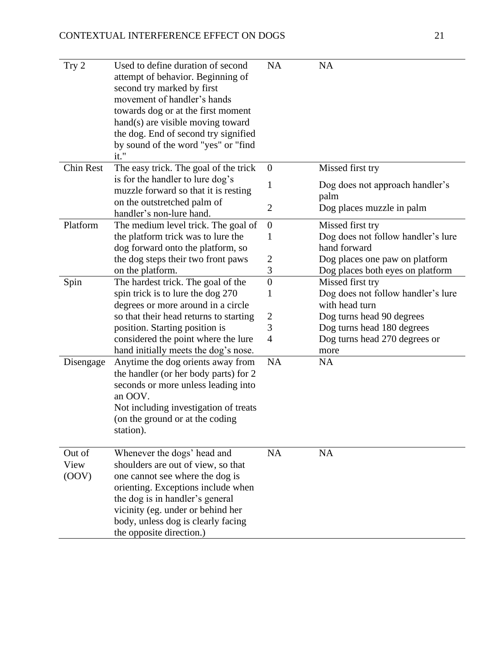| Try 2                   | Used to define duration of second<br>attempt of behavior. Beginning of<br>second try marked by first<br>movement of handler's hands<br>towards dog or at the first moment<br>hand(s) are visible moving toward<br>the dog. End of second try signified<br>by sound of the word "yes" or "find<br>it." | <b>NA</b>               | <b>NA</b>                               |
|-------------------------|-------------------------------------------------------------------------------------------------------------------------------------------------------------------------------------------------------------------------------------------------------------------------------------------------------|-------------------------|-----------------------------------------|
| <b>Chin Rest</b>        | The easy trick. The goal of the trick                                                                                                                                                                                                                                                                 | $\boldsymbol{0}$        | Missed first try                        |
|                         | is for the handler to lure dog's<br>muzzle forward so that it is resting                                                                                                                                                                                                                              | $\mathbf 1$             | Dog does not approach handler's<br>palm |
|                         | on the outstretched palm of<br>handler's non-lure hand.                                                                                                                                                                                                                                               | $\overline{2}$          | Dog places muzzle in palm               |
| Platform                | The medium level trick. The goal of                                                                                                                                                                                                                                                                   | $\boldsymbol{0}$        | Missed first try                        |
|                         | the platform trick was to lure the                                                                                                                                                                                                                                                                    | 1                       | Dog does not follow handler's lure      |
|                         | dog forward onto the platform, so                                                                                                                                                                                                                                                                     |                         | hand forward                            |
|                         | the dog steps their two front paws                                                                                                                                                                                                                                                                    | $\overline{2}$          | Dog places one paw on platform          |
|                         | on the platform.                                                                                                                                                                                                                                                                                      | 3                       | Dog places both eyes on platform        |
| Spin                    | The hardest trick. The goal of the                                                                                                                                                                                                                                                                    | $\boldsymbol{0}$        | Missed first try                        |
|                         | spin trick is to lure the dog 270                                                                                                                                                                                                                                                                     | 1                       | Dog does not follow handler's lure      |
|                         | degrees or more around in a circle                                                                                                                                                                                                                                                                    |                         | with head turn                          |
|                         | so that their head returns to starting                                                                                                                                                                                                                                                                | $\overline{\mathbf{c}}$ | Dog turns head 90 degrees               |
|                         | position. Starting position is                                                                                                                                                                                                                                                                        | 3                       | Dog turns head 180 degrees              |
|                         | considered the point where the lure                                                                                                                                                                                                                                                                   | $\overline{4}$          | Dog turns head 270 degrees or           |
|                         | hand initially meets the dog's nose.                                                                                                                                                                                                                                                                  |                         | more                                    |
| Disengage               | Anytime the dog orients away from<br>the handler (or her body parts) for 2<br>seconds or more unless leading into<br>an OOV.<br>Not including investigation of treats<br>(on the ground or at the coding<br>station).                                                                                 | NA                      | NA                                      |
| Out of<br>View<br>(OOV) | Whenever the dogs' head and<br>shoulders are out of view, so that<br>one cannot see where the dog is<br>orienting. Exceptions include when<br>the dog is in handler's general<br>vicinity (eg. under or behind her<br>body, unless dog is clearly facing<br>the opposite direction.)                  | NA                      | <b>NA</b>                               |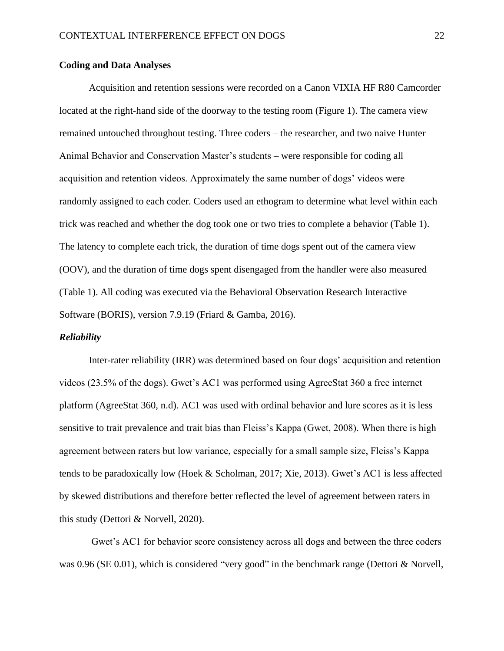#### **Coding and Data Analyses**

Acquisition and retention sessions were recorded on a Canon VIXIA HF R80 Camcorder located at the right-hand side of the doorway to the testing room (Figure 1). The camera view remained untouched throughout testing. Three coders – the researcher, and two naive Hunter Animal Behavior and Conservation Master's students – were responsible for coding all acquisition and retention videos. Approximately the same number of dogs' videos were randomly assigned to each coder. Coders used an ethogram to determine what level within each trick was reached and whether the dog took one or two tries to complete a behavior (Table 1). The latency to complete each trick, the duration of time dogs spent out of the camera view (OOV), and the duration of time dogs spent disengaged from the handler were also measured (Table 1). All coding was executed via the Behavioral Observation Research Interactive Software (BORIS), version 7.9.19 (Friard & Gamba, 2016).

#### *Reliability*

Inter-rater reliability (IRR) was determined based on four dogs' acquisition and retention videos (23.5% of the dogs). Gwet's AC1 was performed using AgreeStat 360 a free internet platform (AgreeStat 360, n.d). AC1 was used with ordinal behavior and lure scores as it is less sensitive to trait prevalence and trait bias than Fleiss's Kappa (Gwet, 2008). When there is high agreement between raters but low variance, especially for a small sample size, Fleiss's Kappa tends to be paradoxically low (Hoek & Scholman, 2017; Xie, 2013). Gwet's AC1 is less affected by skewed distributions and therefore better reflected the level of agreement between raters in this study (Dettori & Norvell, 2020).

Gwet's AC1 for behavior score consistency across all dogs and between the three coders was 0.96 (SE 0.01), which is considered "very good" in the benchmark range (Dettori & Norvell,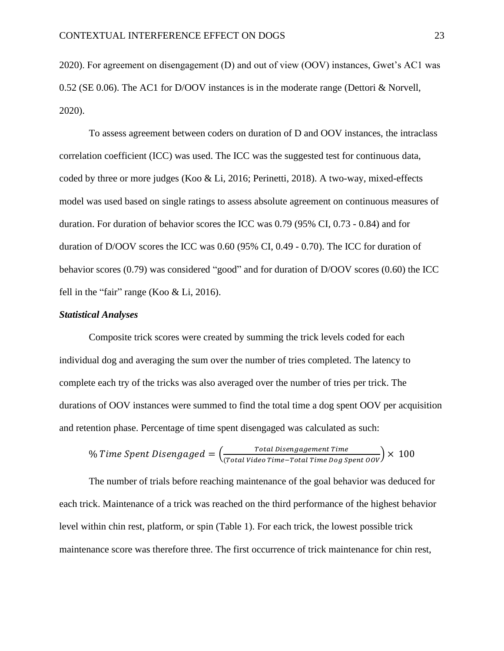2020). For agreement on disengagement (D) and out of view (OOV) instances, Gwet's AC1 was 0.52 (SE 0.06). The AC1 for D/OOV instances is in the moderate range (Dettori & Norvell, 2020).

To assess agreement between coders on duration of D and OOV instances, the intraclass correlation coefficient (ICC) was used. The ICC was the suggested test for continuous data, coded by three or more judges (Koo & Li, 2016; Perinetti, 2018). A two-way, mixed-effects model was used based on single ratings to assess absolute agreement on continuous measures of duration. For duration of behavior scores the ICC was 0.79 (95% CI, 0.73 - 0.84) and for duration of D/OOV scores the ICC was 0.60 (95% CI, 0.49 - 0.70). The ICC for duration of behavior scores (0.79) was considered "good" and for duration of D/OOV scores (0.60) the ICC fell in the "fair" range (Koo & Li, 2016).

#### *Statistical Analyses*

Composite trick scores were created by summing the trick levels coded for each individual dog and averaging the sum over the number of tries completed. The latency to complete each try of the tricks was also averaged over the number of tries per trick. The durations of OOV instances were summed to find the total time a dog spent OOV per acquisition and retention phase. Percentage of time spent disengaged was calculated as such:

$$
\% Time Spent Disengaged = \left(\frac{Total \ Disengagement \ Time}{(Total \ Video \ Time-Total \ Time \ Dog \ Spent \ OOV)} \times \ 100\right.
$$

The number of trials before reaching maintenance of the goal behavior was deduced for each trick. Maintenance of a trick was reached on the third performance of the highest behavior level within chin rest, platform, or spin (Table 1). For each trick, the lowest possible trick maintenance score was therefore three. The first occurrence of trick maintenance for chin rest,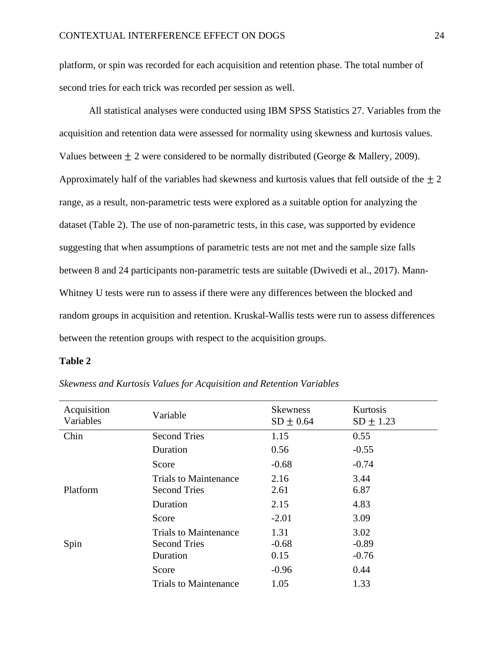platform, or spin was recorded for each acquisition and retention phase. The total number of second tries for each trick was recorded per session as well.

All statistical analyses were conducted using IBM SPSS Statistics 27. Variables from the acquisition and retention data were assessed for normality using skewness and kurtosis values. Values between  $\pm 2$  were considered to be normally distributed (George & Mallery, 2009). Approximately half of the variables had skewness and kurtosis values that fell outside of the  $\pm 2$ range, as a result, non-parametric tests were explored as a suitable option for analyzing the dataset (Table 2). The use of non-parametric tests, in this case, was supported by evidence suggesting that when assumptions of parametric tests are not met and the sample size falls between 8 and 24 participants non-parametric tests are suitable (Dwivedi et al., 2017). Mann-Whitney U tests were run to assess if there were any differences between the blocked and random groups in acquisition and retention. Kruskal-Wallis tests were run to assess differences between the retention groups with respect to the acquisition groups.

#### **Table 2**

| Acquisition<br>Variables | Variable                     | <b>Skewness</b><br>$SD \pm 0.64$ | Kurtosis<br>$SD \pm 1.23$ |
|--------------------------|------------------------------|----------------------------------|---------------------------|
| Chin                     | <b>Second Tries</b>          | 1.15                             | 0.55                      |
|                          | Duration                     | 0.56                             | $-0.55$                   |
|                          | Score                        | $-0.68$                          | $-0.74$                   |
|                          | <b>Trials to Maintenance</b> | 2.16                             | 3.44                      |
| Platform                 | <b>Second Tries</b>          | 2.61                             | 6.87                      |
|                          | Duration                     | 2.15                             | 4.83                      |
|                          | Score                        | $-2.01$                          | 3.09                      |
|                          | <b>Trials to Maintenance</b> | 1.31                             | 3.02                      |
| Spin                     | <b>Second Tries</b>          | $-0.68$                          | $-0.89$                   |
|                          | Duration                     | 0.15                             | $-0.76$                   |
|                          | Score                        | $-0.96$                          | 0.44                      |
|                          | <b>Trials to Maintenance</b> | 1.05                             | 1.33                      |

*Skewness and Kurtosis Values for Acquisition and Retention Variables*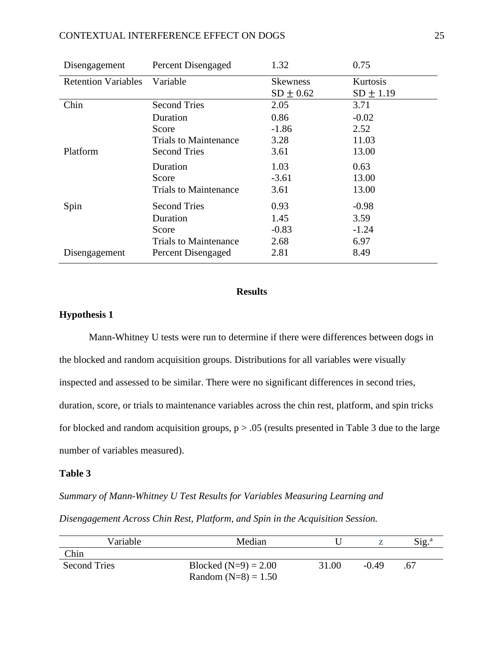#### CONTEXTUAL INTERFERENCE EFFECT ON DOGS 25

| Disengagement              | <b>Percent Disengaged</b>    | 1.32            | 0.75          |
|----------------------------|------------------------------|-----------------|---------------|
| <b>Retention Variables</b> | Variable                     | <b>Skewness</b> | Kurtosis      |
|                            |                              | $SD \pm 0.62$   | $SD \pm 1.19$ |
| Chin                       | <b>Second Tries</b>          | 2.05            | 3.71          |
|                            | Duration                     | 0.86            | $-0.02$       |
|                            | Score                        | $-1.86$         | 2.52          |
|                            | <b>Trials to Maintenance</b> | 3.28            | 11.03         |
| Platform                   | <b>Second Tries</b>          | 3.61            | 13.00         |
|                            | Duration                     | 1.03            | 0.63          |
|                            | Score                        | $-3.61$         | 13.00         |
|                            | <b>Trials to Maintenance</b> | 3.61            | 13.00         |
| Spin                       | <b>Second Tries</b>          | 0.93            | $-0.98$       |
|                            | Duration                     | 1.45            | 3.59          |
|                            | Score                        | $-0.83$         | $-1.24$       |
|                            | <b>Trials to Maintenance</b> | 2.68            | 6.97          |
| Disengagement              | Percent Disengaged           | 2.81            | 8.49          |

#### **Results**

#### **Hypothesis 1**

Mann-Whitney U tests were run to determine if there were differences between dogs in the blocked and random acquisition groups. Distributions for all variables were visually inspected and assessed to be similar. There were no significant differences in second tries, duration, score, or trials to maintenance variables across the chin rest, platform, and spin tricks for blocked and random acquisition groups,  $p > .05$  (results presented in Table 3 due to the large number of variables measured).

#### **Table 3**

*Summary of Mann-Whitney U Test Results for Variables Measuring Learning and* 

*Disengagement Across Chin Rest, Platform, and Spin in the Acquisition Session.*

| Variable            | Median                 |       |         | Sig. <sup>a</sup> |
|---------------------|------------------------|-------|---------|-------------------|
| Chin                |                        |       |         |                   |
| <b>Second Tries</b> | Blocked $(N=9) = 2.00$ | 31.00 | $-0.49$ | .67               |
|                     | Random $(N=8) = 1.50$  |       |         |                   |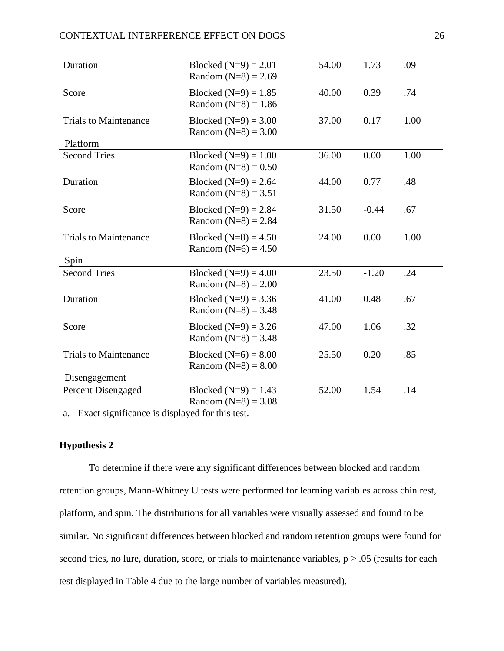#### CONTEXTUAL INTERFERENCE EFFECT ON DOGS 26

| Duration                     | Blocked $(N=9) = 2.01$<br>Random $(N=8) = 2.69$   | 54.00 | 1.73    | .09  |
|------------------------------|---------------------------------------------------|-------|---------|------|
| Score                        | Blocked $(N=9) = 1.85$<br>Random $(N=8) = 1.86$   | 40.00 | 0.39    | .74  |
| <b>Trials to Maintenance</b> | Blocked $(N=9) = 3.00$<br>Random $(N=8) = 3.00$   | 37.00 | 0.17    | 1.00 |
| Platform                     |                                                   |       |         |      |
| <b>Second Tries</b>          | Blocked $(N=9) = 1.00$<br>Random $(N=8) = 0.50$   | 36.00 | 0.00    | 1.00 |
| Duration                     | Blocked $(N=9) = 2.64$<br>Random $(N=8) = 3.51$   | 44.00 | 0.77    | .48  |
| Score                        | Blocked $(N=9) = 2.84$<br>Random $(N=8) = 2.84$   | 31.50 | $-0.44$ | .67  |
| <b>Trials to Maintenance</b> | Blocked $(N=8) = 4.50$<br>Random ( $N=6$ ) = 4.50 | 24.00 | 0.00    | 1.00 |
| Spin                         |                                                   |       |         |      |
| <b>Second Tries</b>          | Blocked $(N=9) = 4.00$<br>Random $(N=8) = 2.00$   | 23.50 | $-1.20$ | .24  |
| Duration                     | Blocked $(N=9) = 3.36$<br>Random $(N=8) = 3.48$   | 41.00 | 0.48    | .67  |
| Score                        | Blocked $(N=9) = 3.26$<br>Random $(N=8) = 3.48$   | 47.00 | 1.06    | .32  |
| <b>Trials to Maintenance</b> | Blocked $(N=6) = 8.00$<br>Random $(N=8) = 8.00$   | 25.50 | 0.20    | .85  |
| Disengagement                |                                                   |       |         |      |
| <b>Percent Disengaged</b>    | Blocked $(N=9) = 1.43$<br>Random $(N=8) = 3.08$   | 52.00 | 1.54    | .14  |

a. Exact significance is displayed for this test.

#### **Hypothesis 2**

To determine if there were any significant differences between blocked and random retention groups, Mann-Whitney U tests were performed for learning variables across chin rest, platform, and spin. The distributions for all variables were visually assessed and found to be similar. No significant differences between blocked and random retention groups were found for second tries, no lure, duration, score, or trials to maintenance variables,  $p > .05$  (results for each test displayed in Table 4 due to the large number of variables measured).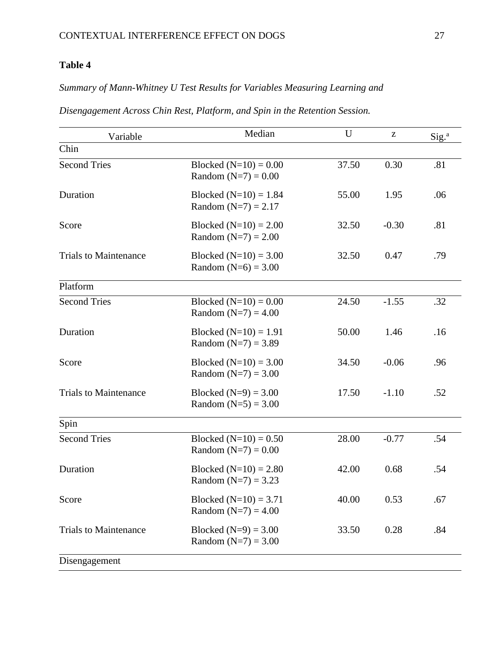## **Table 4**

## *Summary of Mann-Whitney U Test Results for Variables Measuring Learning and*

| Variable                     | Median                                           | U     | Z       | Sig. <sup>a</sup> |
|------------------------------|--------------------------------------------------|-------|---------|-------------------|
| Chin                         |                                                  |       |         |                   |
| <b>Second Tries</b>          | Blocked $(N=10) = 0.00$<br>Random $(N=7) = 0.00$ | 37.50 | 0.30    | .81               |
| Duration                     | Blocked $(N=10) = 1.84$<br>Random $(N=7) = 2.17$ | 55.00 | 1.95    | .06               |
| Score                        | Blocked $(N=10) = 2.00$<br>Random $(N=7) = 2.00$ | 32.50 | $-0.30$ | .81               |
| <b>Trials to Maintenance</b> | Blocked $(N=10) = 3.00$<br>Random $(N=6) = 3.00$ | 32.50 | 0.47    | .79               |
| Platform                     |                                                  |       |         |                   |
| <b>Second Tries</b>          | Blocked $(N=10) = 0.00$<br>Random $(N=7) = 4.00$ | 24.50 | $-1.55$ | .32               |
| Duration                     | Blocked $(N=10) = 1.91$<br>Random $(N=7) = 3.89$ | 50.00 | 1.46    | .16               |
| Score                        | Blocked $(N=10) = 3.00$<br>Random $(N=7) = 3.00$ | 34.50 | $-0.06$ | .96               |
| <b>Trials to Maintenance</b> | Blocked $(N=9) = 3.00$<br>Random $(N=5) = 3.00$  | 17.50 | $-1.10$ | .52               |
| Spin                         |                                                  |       |         |                   |
| <b>Second Tries</b>          | Blocked $(N=10) = 0.50$<br>Random $(N=7) = 0.00$ | 28.00 | $-0.77$ | .54               |
| Duration                     | Blocked $(N=10) = 2.80$<br>Random $(N=7) = 3.23$ | 42.00 | 0.68    | .54               |
| Score                        | Blocked $(N=10) = 3.71$<br>Random $(N=7) = 4.00$ | 40.00 | 0.53    | .67               |
| <b>Trials to Maintenance</b> | Blocked $(N=9) = 3.00$<br>Random $(N=7) = 3.00$  | 33.50 | 0.28    | .84               |
| Disengagement                |                                                  |       |         |                   |

### *Disengagement Across Chin Rest, Platform, and Spin in the Retention Session.*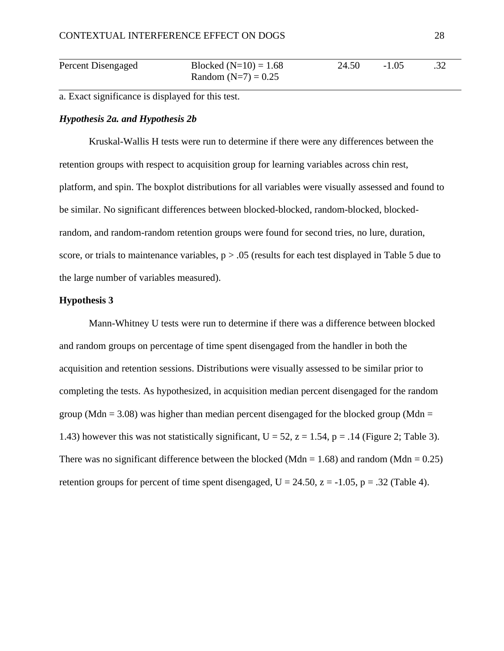| Percent Disengaged | Blocked $(N=10) = 1.68$ | 24.50 | $-1.05$ | .32 |
|--------------------|-------------------------|-------|---------|-----|
|                    | Random $(N=7) = 0.25$   |       |         |     |

a. Exact significance is displayed for this test.

#### *Hypothesis 2a. and Hypothesis 2b*

Kruskal-Wallis H tests were run to determine if there were any differences between the retention groups with respect to acquisition group for learning variables across chin rest, platform, and spin. The boxplot distributions for all variables were visually assessed and found to be similar. No significant differences between blocked-blocked, random-blocked, blockedrandom, and random-random retention groups were found for second tries, no lure, duration, score, or trials to maintenance variables,  $p > 0.05$  (results for each test displayed in Table 5 due to the large number of variables measured).

#### **Hypothesis 3**

Mann-Whitney U tests were run to determine if there was a difference between blocked and random groups on percentage of time spent disengaged from the handler in both the acquisition and retention sessions. Distributions were visually assessed to be similar prior to completing the tests. As hypothesized, in acquisition median percent disengaged for the random group (Mdn = 3.08) was higher than median percent disengaged for the blocked group (Mdn = 1.43) however this was not statistically significant,  $U = 52$ ,  $z = 1.54$ ,  $p = .14$  (Figure 2; Table 3). There was no significant difference between the blocked (Mdn =  $1.68$ ) and random (Mdn =  $0.25$ ) retention groups for percent of time spent disengaged,  $U = 24.50$ ,  $z = -1.05$ ,  $p = .32$  (Table 4).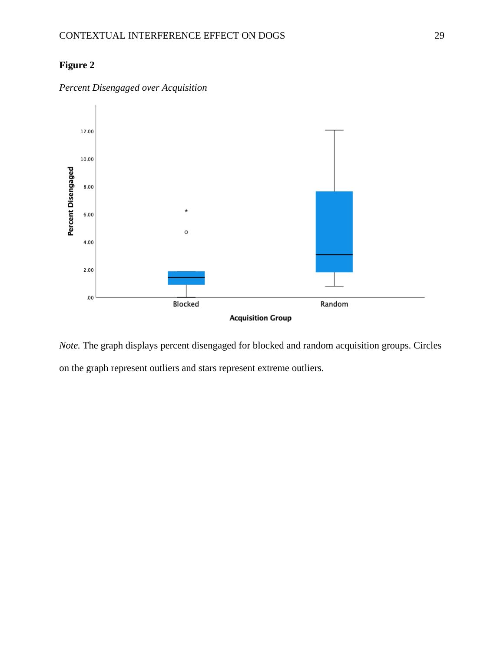## **Figure 2**



## *Percent Disengaged over Acquisition*

*Note.* The graph displays percent disengaged for blocked and random acquisition groups. Circles on the graph represent outliers and stars represent extreme outliers.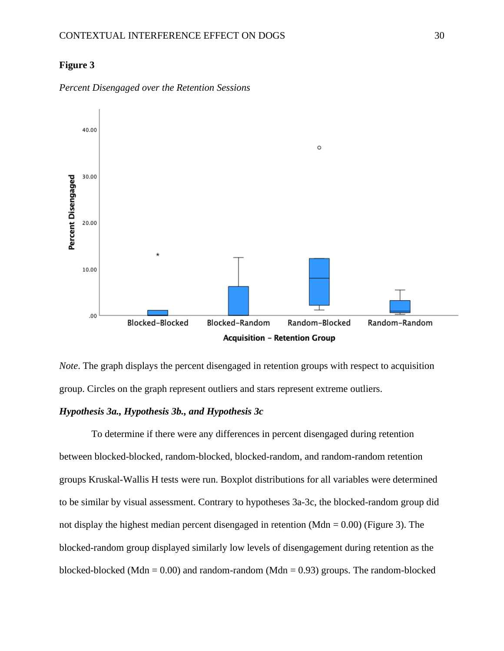#### **Figure 3**



*Percent Disengaged over the Retention Sessions*



#### *Hypothesis 3a., Hypothesis 3b., and Hypothesis 3c*

To determine if there were any differences in percent disengaged during retention between blocked-blocked, random-blocked, blocked-random, and random-random retention groups Kruskal-Wallis H tests were run. Boxplot distributions for all variables were determined to be similar by visual assessment. Contrary to hypotheses 3a-3c, the blocked-random group did not display the highest median percent disengaged in retention (Mdn  $= 0.00$ ) (Figure 3). The blocked-random group displayed similarly low levels of disengagement during retention as the blocked-blocked (Mdn =  $0.00$ ) and random-random (Mdn =  $0.93$ ) groups. The random-blocked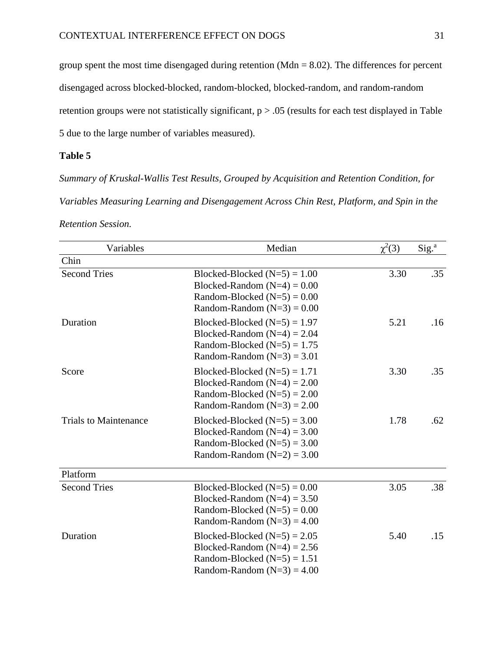group spent the most time disengaged during retention (Mdn  $= 8.02$ ). The differences for percent disengaged across blocked-blocked, random-blocked, blocked-random, and random-random retention groups were not statistically significant, p > .05 (results for each test displayed in Table 5 due to the large number of variables measured).

#### **Table 5**

*Summary of Kruskal-Wallis Test Results, Grouped by Acquisition and Retention Condition, for Variables Measuring Learning and Disengagement Across Chin Rest, Platform, and Spin in the Retention Session.*

| Variables                    | Median                                                                                                                           | $\chi^2(3)$ | Sig. <sup>a</sup> |
|------------------------------|----------------------------------------------------------------------------------------------------------------------------------|-------------|-------------------|
| Chin                         |                                                                                                                                  |             |                   |
| <b>Second Tries</b>          | Blocked-Blocked $(N=5) = 1.00$<br>Blocked-Random $(N=4) = 0.00$<br>Random-Blocked $(N=5) = 0.00$<br>Random-Random $(N=3) = 0.00$ | 3.30        | .35               |
| Duration                     | Blocked-Blocked $(N=5) = 1.97$<br>Blocked-Random $(N=4) = 2.04$<br>Random-Blocked $(N=5) = 1.75$<br>Random-Random $(N=3) = 3.01$ | 5.21        | .16               |
| Score                        | Blocked-Blocked $(N=5) = 1.71$<br>Blocked-Random $(N=4) = 2.00$<br>Random-Blocked $(N=5) = 2.00$<br>Random-Random $(N=3) = 2.00$ | 3.30        | .35               |
| <b>Trials to Maintenance</b> | Blocked-Blocked $(N=5) = 3.00$<br>Blocked-Random $(N=4) = 3.00$<br>Random-Blocked $(N=5) = 3.00$<br>Random-Random $(N=2) = 3.00$ | 1.78        | .62               |
| Platform                     |                                                                                                                                  |             |                   |
| <b>Second Tries</b>          | Blocked-Blocked $(N=5) = 0.00$<br>Blocked-Random $(N=4) = 3.50$<br>Random-Blocked $(N=5) = 0.00$<br>Random-Random $(N=3) = 4.00$ | 3.05        | .38               |
| Duration                     | Blocked-Blocked $(N=5) = 2.05$<br>Blocked-Random $(N=4) = 2.56$<br>Random-Blocked $(N=5) = 1.51$<br>Random-Random $(N=3) = 4.00$ | 5.40        | .15               |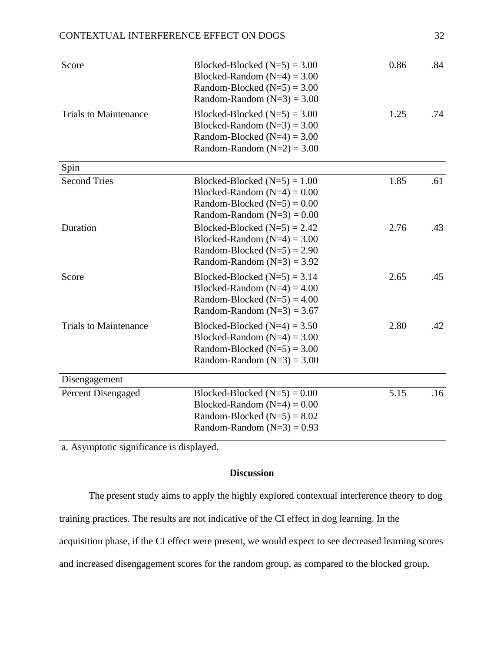#### CONTEXTUAL INTERFERENCE EFFECT ON DOGS 32

| Score                        | Blocked-Blocked $(N=5) = 3.00$<br>Blocked-Random $(N=4) = 3.00$<br>Random-Blocked $(N=5) = 3.00$<br>Random-Random $(N=3) = 3.00$ | 0.86 | .84 |
|------------------------------|----------------------------------------------------------------------------------------------------------------------------------|------|-----|
| <b>Trials to Maintenance</b> | Blocked-Blocked $(N=5) = 3.00$<br>Blocked-Random $(N=3) = 3.00$<br>Random-Blocked $(N=4) = 3.00$<br>Random-Random $(N=2) = 3.00$ | 1.25 | .74 |
| Spin                         |                                                                                                                                  |      |     |
| <b>Second Tries</b>          | Blocked-Blocked $(N=5) = 1.00$<br>Blocked-Random $(N=4) = 0.00$<br>Random-Blocked $(N=5) = 0.00$<br>Random-Random $(N=3) = 0.00$ | 1.85 | .61 |
| Duration                     | Blocked-Blocked $(N=5) = 2.42$<br>Blocked-Random $(N=4) = 3.00$<br>Random-Blocked $(N=5) = 2.90$<br>Random-Random $(N=3) = 3.92$ | 2.76 | .43 |
| Score                        | Blocked-Blocked $(N=5) = 3.14$<br>Blocked-Random $(N=4) = 4.00$<br>Random-Blocked $(N=5) = 4.00$<br>Random-Random $(N=3) = 3.67$ | 2.65 | .45 |
| <b>Trials to Maintenance</b> | Blocked-Blocked $(N=4) = 3.50$<br>Blocked-Random $(N=4) = 3.00$<br>Random-Blocked $(N=5) = 3.00$<br>Random-Random $(N=3) = 3.00$ | 2.80 | .42 |
| Disengagement                |                                                                                                                                  |      |     |
| Percent Disengaged           | Blocked-Blocked $(N=5) = 0.00$<br>Blocked-Random $(N=4) = 0.00$<br>Random-Blocked $(N=5) = 8.02$<br>Random-Random $(N=3) = 0.93$ | 5.15 | .16 |

a. Asymptotic significance is displayed.

#### **Discussion**

The present study aims to apply the highly explored contextual interference theory to dog

training practices. The results are not indicative of the CI effect in dog learning. In the

acquisition phase, if the CI effect were present, we would expect to see decreased learning scores

and increased disengagement scores for the random group, as compared to the blocked group.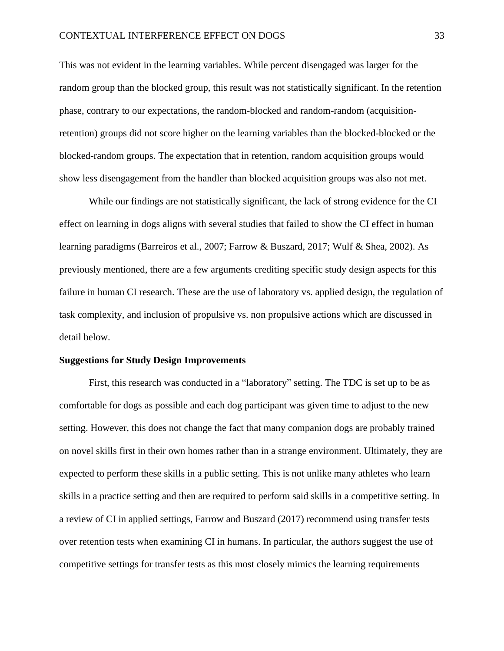This was not evident in the learning variables. While percent disengaged was larger for the random group than the blocked group, this result was not statistically significant. In the retention phase, contrary to our expectations, the random-blocked and random-random (acquisitionretention) groups did not score higher on the learning variables than the blocked-blocked or the blocked-random groups. The expectation that in retention, random acquisition groups would show less disengagement from the handler than blocked acquisition groups was also not met.

While our findings are not statistically significant, the lack of strong evidence for the CI effect on learning in dogs aligns with several studies that failed to show the CI effect in human learning paradigms (Barreiros et al., 2007; Farrow & Buszard, 2017; Wulf & Shea, 2002). As previously mentioned, there are a few arguments crediting specific study design aspects for this failure in human CI research. These are the use of laboratory vs. applied design, the regulation of task complexity, and inclusion of propulsive vs. non propulsive actions which are discussed in detail below.

#### **Suggestions for Study Design Improvements**

First, this research was conducted in a "laboratory" setting. The TDC is set up to be as comfortable for dogs as possible and each dog participant was given time to adjust to the new setting. However, this does not change the fact that many companion dogs are probably trained on novel skills first in their own homes rather than in a strange environment. Ultimately, they are expected to perform these skills in a public setting. This is not unlike many athletes who learn skills in a practice setting and then are required to perform said skills in a competitive setting. In a review of CI in applied settings, Farrow and Buszard (2017) recommend using transfer tests over retention tests when examining CI in humans. In particular, the authors suggest the use of competitive settings for transfer tests as this most closely mimics the learning requirements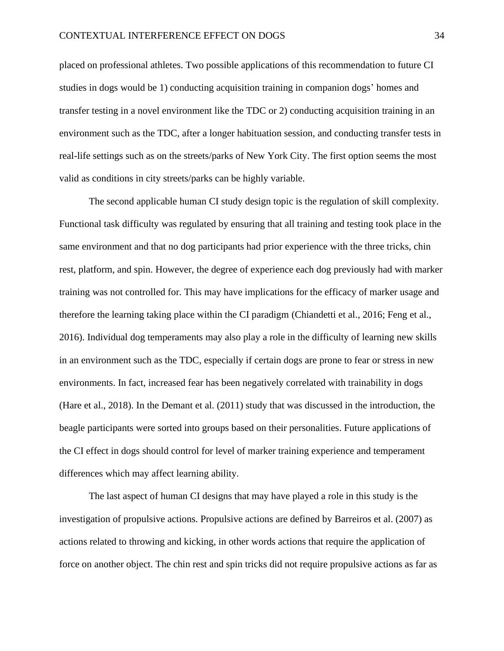placed on professional athletes. Two possible applications of this recommendation to future CI studies in dogs would be 1) conducting acquisition training in companion dogs' homes and transfer testing in a novel environment like the TDC or 2) conducting acquisition training in an environment such as the TDC, after a longer habituation session, and conducting transfer tests in real-life settings such as on the streets/parks of New York City. The first option seems the most valid as conditions in city streets/parks can be highly variable.

The second applicable human CI study design topic is the regulation of skill complexity. Functional task difficulty was regulated by ensuring that all training and testing took place in the same environment and that no dog participants had prior experience with the three tricks, chin rest, platform, and spin. However, the degree of experience each dog previously had with marker training was not controlled for. This may have implications for the efficacy of marker usage and therefore the learning taking place within the CI paradigm (Chiandetti et al., 2016; Feng et al., 2016). Individual dog temperaments may also play a role in the difficulty of learning new skills in an environment such as the TDC, especially if certain dogs are prone to fear or stress in new environments. In fact, increased fear has been negatively correlated with trainability in dogs (Hare et al., 2018). In the Demant et al. (2011) study that was discussed in the introduction, the beagle participants were sorted into groups based on their personalities. Future applications of the CI effect in dogs should control for level of marker training experience and temperament differences which may affect learning ability.

The last aspect of human CI designs that may have played a role in this study is the investigation of propulsive actions. Propulsive actions are defined by Barreiros et al. (2007) as actions related to throwing and kicking, in other words actions that require the application of force on another object. The chin rest and spin tricks did not require propulsive actions as far as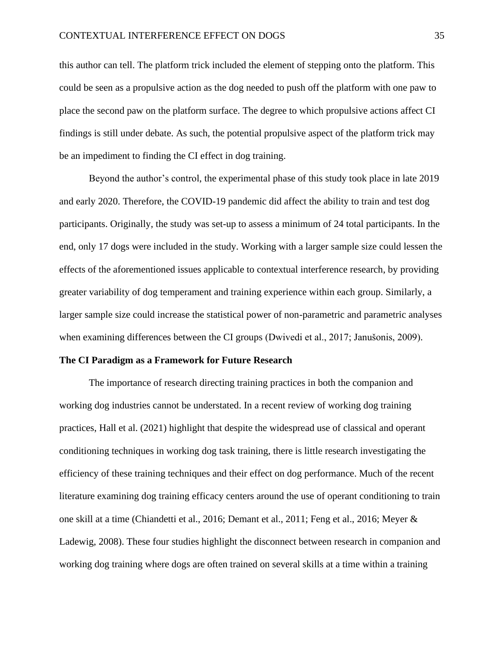this author can tell. The platform trick included the element of stepping onto the platform. This could be seen as a propulsive action as the dog needed to push off the platform with one paw to place the second paw on the platform surface. The degree to which propulsive actions affect CI findings is still under debate. As such, the potential propulsive aspect of the platform trick may be an impediment to finding the CI effect in dog training.

Beyond the author's control, the experimental phase of this study took place in late 2019 and early 2020. Therefore, the COVID-19 pandemic did affect the ability to train and test dog participants. Originally, the study was set-up to assess a minimum of 24 total participants. In the end, only 17 dogs were included in the study. Working with a larger sample size could lessen the effects of the aforementioned issues applicable to contextual interference research, by providing greater variability of dog temperament and training experience within each group. Similarly, a larger sample size could increase the statistical power of non-parametric and parametric analyses when examining differences between the CI groups (Dwivedi et al., 2017; Janušonis, 2009).

#### **The CI Paradigm as a Framework for Future Research**

The importance of research directing training practices in both the companion and working dog industries cannot be understated. In a recent review of working dog training practices, Hall et al. (2021) highlight that despite the widespread use of classical and operant conditioning techniques in working dog task training, there is little research investigating the efficiency of these training techniques and their effect on dog performance. Much of the recent literature examining dog training efficacy centers around the use of operant conditioning to train one skill at a time (Chiandetti et al., 2016; Demant et al., 2011; Feng et al., 2016; Meyer & Ladewig, 2008). These four studies highlight the disconnect between research in companion and working dog training where dogs are often trained on several skills at a time within a training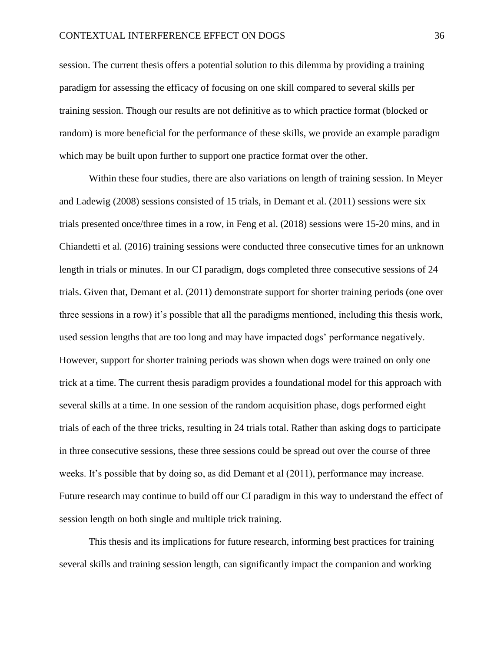session. The current thesis offers a potential solution to this dilemma by providing a training paradigm for assessing the efficacy of focusing on one skill compared to several skills per training session. Though our results are not definitive as to which practice format (blocked or random) is more beneficial for the performance of these skills, we provide an example paradigm which may be built upon further to support one practice format over the other.

Within these four studies, there are also variations on length of training session. In Meyer and Ladewig (2008) sessions consisted of 15 trials, in Demant et al. (2011) sessions were six trials presented once/three times in a row, in Feng et al. (2018) sessions were 15-20 mins, and in Chiandetti et al. (2016) training sessions were conducted three consecutive times for an unknown length in trials or minutes. In our CI paradigm, dogs completed three consecutive sessions of 24 trials. Given that, Demant et al. (2011) demonstrate support for shorter training periods (one over three sessions in a row) it's possible that all the paradigms mentioned, including this thesis work, used session lengths that are too long and may have impacted dogs' performance negatively. However, support for shorter training periods was shown when dogs were trained on only one trick at a time. The current thesis paradigm provides a foundational model for this approach with several skills at a time. In one session of the random acquisition phase, dogs performed eight trials of each of the three tricks, resulting in 24 trials total. Rather than asking dogs to participate in three consecutive sessions, these three sessions could be spread out over the course of three weeks. It's possible that by doing so, as did Demant et al (2011), performance may increase. Future research may continue to build off our CI paradigm in this way to understand the effect of session length on both single and multiple trick training.

This thesis and its implications for future research, informing best practices for training several skills and training session length, can significantly impact the companion and working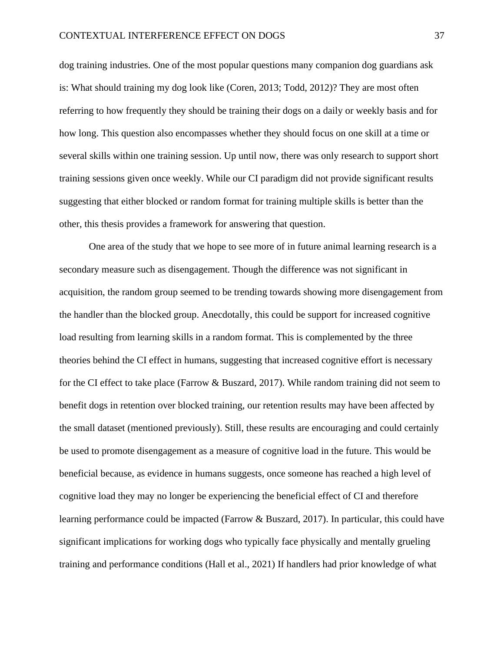dog training industries. One of the most popular questions many companion dog guardians ask is: What should training my dog look like (Coren, 2013; Todd, 2012)? They are most often referring to how frequently they should be training their dogs on a daily or weekly basis and for how long. This question also encompasses whether they should focus on one skill at a time or several skills within one training session. Up until now, there was only research to support short training sessions given once weekly. While our CI paradigm did not provide significant results suggesting that either blocked or random format for training multiple skills is better than the other, this thesis provides a framework for answering that question.

One area of the study that we hope to see more of in future animal learning research is a secondary measure such as disengagement. Though the difference was not significant in acquisition, the random group seemed to be trending towards showing more disengagement from the handler than the blocked group. Anecdotally, this could be support for increased cognitive load resulting from learning skills in a random format. This is complemented by the three theories behind the CI effect in humans, suggesting that increased cognitive effort is necessary for the CI effect to take place (Farrow & Buszard, 2017). While random training did not seem to benefit dogs in retention over blocked training, our retention results may have been affected by the small dataset (mentioned previously). Still, these results are encouraging and could certainly be used to promote disengagement as a measure of cognitive load in the future. This would be beneficial because, as evidence in humans suggests, once someone has reached a high level of cognitive load they may no longer be experiencing the beneficial effect of CI and therefore learning performance could be impacted (Farrow & Buszard, 2017). In particular, this could have significant implications for working dogs who typically face physically and mentally grueling training and performance conditions (Hall et al., 2021) If handlers had prior knowledge of what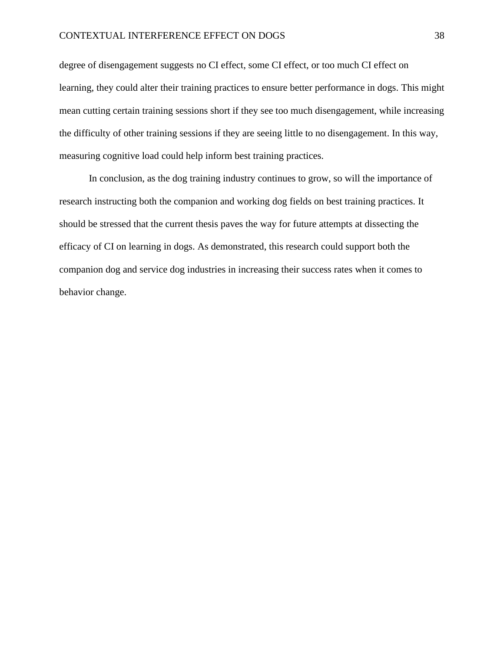degree of disengagement suggests no CI effect, some CI effect, or too much CI effect on learning, they could alter their training practices to ensure better performance in dogs. This might mean cutting certain training sessions short if they see too much disengagement, while increasing the difficulty of other training sessions if they are seeing little to no disengagement. In this way, measuring cognitive load could help inform best training practices.

In conclusion, as the dog training industry continues to grow, so will the importance of research instructing both the companion and working dog fields on best training practices. It should be stressed that the current thesis paves the way for future attempts at dissecting the efficacy of CI on learning in dogs. As demonstrated, this research could support both the companion dog and service dog industries in increasing their success rates when it comes to behavior change.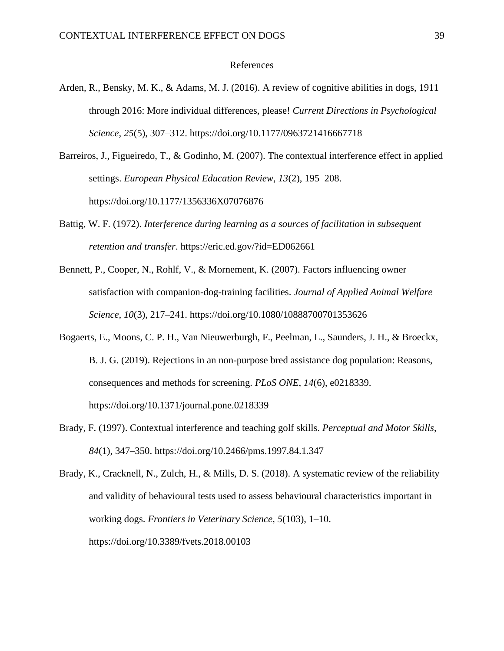#### References

- Arden, R., Bensky, M. K., & Adams, M. J. (2016). A review of cognitive abilities in dogs, 1911 through 2016: More individual differences, please! *Current Directions in Psychological Science*, *25*(5), 307–312. https://doi.org/10.1177/0963721416667718
- Barreiros, J., Figueiredo, T., & Godinho, M. (2007). The contextual interference effect in applied settings. *European Physical Education Review*, *13*(2), 195–208. https://doi.org/10.1177/1356336X07076876
- Battig, W. F. (1972). *Interference during learning as a sources of facilitation in subsequent retention and transfer*. https://eric.ed.gov/?id=ED062661
- Bennett, P., Cooper, N., Rohlf, V., & Mornement, K. (2007). Factors influencing owner satisfaction with companion-dog-training facilities. *Journal of Applied Animal Welfare Science*, *10*(3), 217–241. https://doi.org/10.1080/10888700701353626
- Bogaerts, E., Moons, C. P. H., Van Nieuwerburgh, F., Peelman, L., Saunders, J. H., & Broeckx, B. J. G. (2019). Rejections in an non-purpose bred assistance dog population: Reasons, consequences and methods for screening. *PLoS ONE*, *14*(6), e0218339. https://doi.org/10.1371/journal.pone.0218339
- Brady, F. (1997). Contextual interference and teaching golf skills. *Perceptual and Motor Skills*, *84*(1), 347–350. https://doi.org/10.2466/pms.1997.84.1.347

Brady, K., Cracknell, N., Zulch, H., & Mills, D. S. (2018). A systematic review of the reliability and validity of behavioural tests used to assess behavioural characteristics important in working dogs. *Frontiers in Veterinary Science*, *5*(103), 1–10. https://doi.org/10.3389/fvets.2018.00103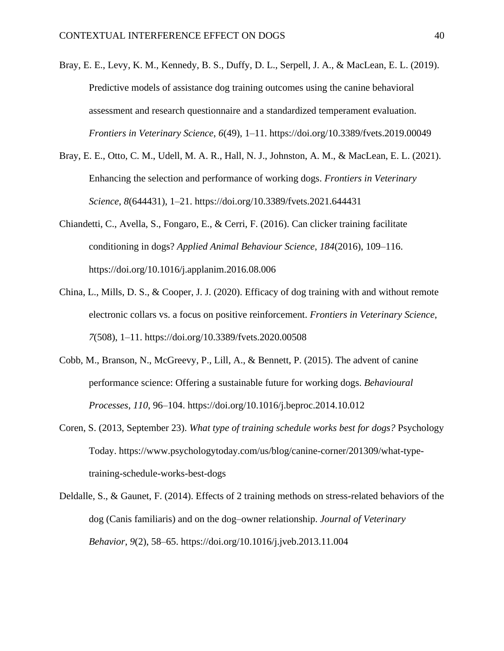- Bray, E. E., Levy, K. M., Kennedy, B. S., Duffy, D. L., Serpell, J. A., & MacLean, E. L. (2019). Predictive models of assistance dog training outcomes using the canine behavioral assessment and research questionnaire and a standardized temperament evaluation. *Frontiers in Veterinary Science*, *6*(49), 1–11. https://doi.org/10.3389/fvets.2019.00049
- Bray, E. E., Otto, C. M., Udell, M. A. R., Hall, N. J., Johnston, A. M., & MacLean, E. L. (2021). Enhancing the selection and performance of working dogs. *Frontiers in Veterinary Science*, *8*(644431), 1–21. https://doi.org/10.3389/fvets.2021.644431
- Chiandetti, C., Avella, S., Fongaro, E., & Cerri, F. (2016). Can clicker training facilitate conditioning in dogs? *Applied Animal Behaviour Science*, *184*(2016), 109–116. https://doi.org/10.1016/j.applanim.2016.08.006
- China, L., Mills, D. S., & Cooper, J. J. (2020). Efficacy of dog training with and without remote electronic collars vs. a focus on positive reinforcement. *Frontiers in Veterinary Science*, *7*(508), 1–11. https://doi.org/10.3389/fvets.2020.00508
- Cobb, M., Branson, N., McGreevy, P., Lill, A., & Bennett, P. (2015). The advent of canine performance science: Offering a sustainable future for working dogs. *Behavioural Processes*, *110*, 96–104. https://doi.org/10.1016/j.beproc.2014.10.012
- Coren, S. (2013, September 23). *What type of training schedule works best for dogs?* Psychology Today. https://www.psychologytoday.com/us/blog/canine-corner/201309/what-typetraining-schedule-works-best-dogs
- Deldalle, S., & Gaunet, F. (2014). Effects of 2 training methods on stress-related behaviors of the dog (Canis familiaris) and on the dog–owner relationship. *Journal of Veterinary Behavior*, *9*(2), 58–65. https://doi.org/10.1016/j.jveb.2013.11.004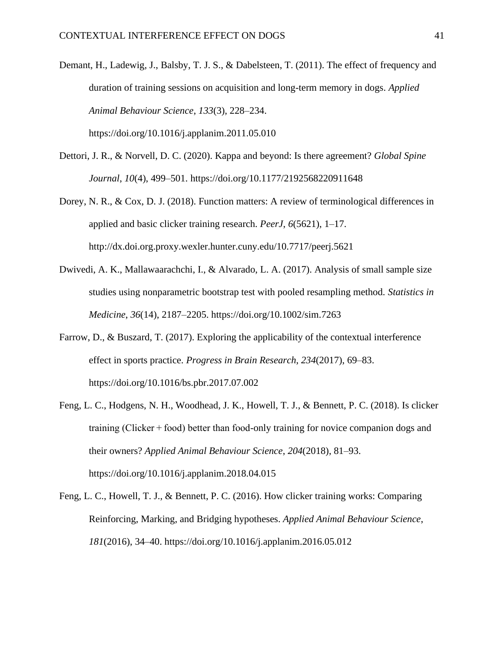- Demant, H., Ladewig, J., Balsby, T. J. S., & Dabelsteen, T. (2011). The effect of frequency and duration of training sessions on acquisition and long-term memory in dogs. *Applied Animal Behaviour Science*, *133*(3), 228–234. https://doi.org/10.1016/j.applanim.2011.05.010
- Dettori, J. R., & Norvell, D. C. (2020). Kappa and beyond: Is there agreement? *Global Spine*

*Journal*, *10*(4), 499–501. https://doi.org/10.1177/2192568220911648

- Dorey, N. R., & Cox, D. J. (2018). Function matters: A review of terminological differences in applied and basic clicker training research. *PeerJ*, *6*(5621), 1–17. http://dx.doi.org.proxy.wexler.hunter.cuny.edu/10.7717/peerj.5621
- Dwivedi, A. K., Mallawaarachchi, I., & Alvarado, L. A. (2017). Analysis of small sample size studies using nonparametric bootstrap test with pooled resampling method. *Statistics in Medicine*, *36*(14), 2187–2205. https://doi.org/10.1002/sim.7263
- Farrow, D., & Buszard, T. (2017). Exploring the applicability of the contextual interference effect in sports practice. *Progress in Brain Research*, *234*(2017), 69–83. https://doi.org/10.1016/bs.pbr.2017.07.002
- Feng, L. C., Hodgens, N. H., Woodhead, J. K., Howell, T. J., & Bennett, P. C. (2018). Is clicker training (Clicker + food) better than food-only training for novice companion dogs and their owners? *Applied Animal Behaviour Science*, *204*(2018), 81–93. https://doi.org/10.1016/j.applanim.2018.04.015
- Feng, L. C., Howell, T. J., & Bennett, P. C. (2016). How clicker training works: Comparing Reinforcing, Marking, and Bridging hypotheses. *Applied Animal Behaviour Science*, *181*(2016), 34–40. https://doi.org/10.1016/j.applanim.2016.05.012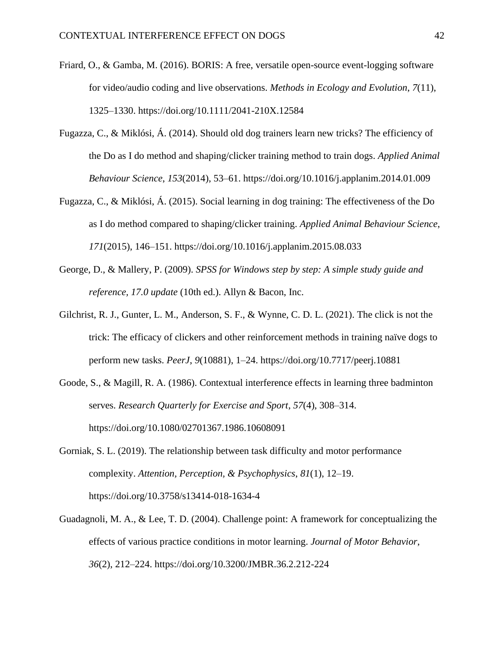- Friard, O., & Gamba, M. (2016). BORIS: A free, versatile open-source event-logging software for video/audio coding and live observations. *Methods in Ecology and Evolution*, *7*(11), 1325–1330. https://doi.org/10.1111/2041-210X.12584
- Fugazza, C., & Miklósi, Á. (2014). Should old dog trainers learn new tricks? The efficiency of the Do as I do method and shaping/clicker training method to train dogs. *Applied Animal Behaviour Science*, *153*(2014), 53–61. https://doi.org/10.1016/j.applanim.2014.01.009
- Fugazza, C., & Miklósi, Á. (2015). Social learning in dog training: The effectiveness of the Do as I do method compared to shaping/clicker training. *Applied Animal Behaviour Science*, *171*(2015), 146–151. https://doi.org/10.1016/j.applanim.2015.08.033
- George, D., & Mallery, P. (2009). *SPSS for Windows step by step: A simple study guide and reference, 17.0 update* (10th ed.). Allyn & Bacon, Inc.
- Gilchrist, R. J., Gunter, L. M., Anderson, S. F., & Wynne, C. D. L. (2021). The click is not the trick: The efficacy of clickers and other reinforcement methods in training naïve dogs to perform new tasks. *PeerJ*, *9*(10881), 1–24. https://doi.org/10.7717/peerj.10881
- Goode, S., & Magill, R. A. (1986). Contextual interference effects in learning three badminton serves. *Research Quarterly for Exercise and Sport*, *57*(4), 308–314. https://doi.org/10.1080/02701367.1986.10608091
- Gorniak, S. L. (2019). The relationship between task difficulty and motor performance complexity. *Attention, Perception, & Psychophysics*, *81*(1), 12–19. https://doi.org/10.3758/s13414-018-1634-4
- Guadagnoli, M. A., & Lee, T. D. (2004). Challenge point: A framework for conceptualizing the effects of various practice conditions in motor learning. *Journal of Motor Behavior*, *36*(2), 212–224. https://doi.org/10.3200/JMBR.36.2.212-224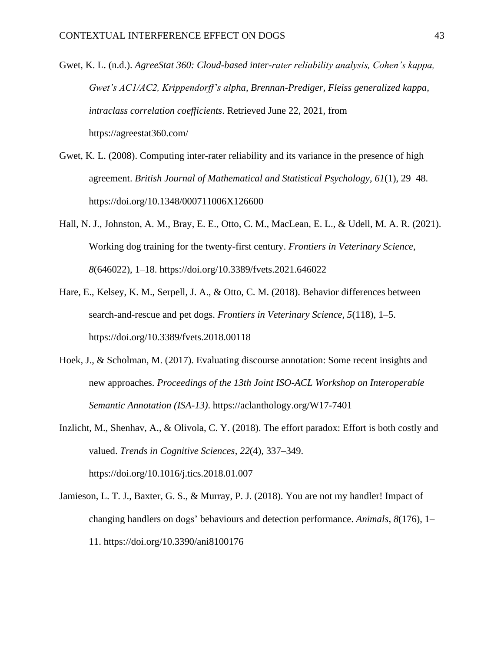- Gwet, K. L. (n.d.). *AgreeStat 360: Cloud-based inter-rater reliability analysis, Cohen's kappa, Gwet's AC1/AC2, Krippendorff's alpha, Brennan-Prediger, Fleiss generalized kappa, intraclass correlation coefficients*. Retrieved June 22, 2021, from https://agreestat360.com/
- Gwet, K. L. (2008). Computing inter-rater reliability and its variance in the presence of high agreement. *British Journal of Mathematical and Statistical Psychology*, *61*(1), 29–48. https://doi.org/10.1348/000711006X126600
- Hall, N. J., Johnston, A. M., Bray, E. E., Otto, C. M., MacLean, E. L., & Udell, M. A. R. (2021). Working dog training for the twenty-first century. *Frontiers in Veterinary Science*, *8*(646022), 1–18. https://doi.org/10.3389/fvets.2021.646022
- Hare, E., Kelsey, K. M., Serpell, J. A., & Otto, C. M. (2018). Behavior differences between search-and-rescue and pet dogs. *Frontiers in Veterinary Science*, *5*(118), 1–5. https://doi.org/10.3389/fvets.2018.00118
- Hoek, J., & Scholman, M. (2017). Evaluating discourse annotation: Some recent insights and new approaches. *Proceedings of the 13th Joint ISO-ACL Workshop on Interoperable Semantic Annotation (ISA-13)*. https://aclanthology.org/W17-7401
- Inzlicht, M., Shenhav, A., & Olivola, C. Y. (2018). The effort paradox: Effort is both costly and valued. *Trends in Cognitive Sciences*, *22*(4), 337–349. https://doi.org/10.1016/j.tics.2018.01.007
- Jamieson, L. T. J., Baxter, G. S., & Murray, P. J. (2018). You are not my handler! Impact of changing handlers on dogs' behaviours and detection performance. *Animals*, *8*(176), 1– 11. https://doi.org/10.3390/ani8100176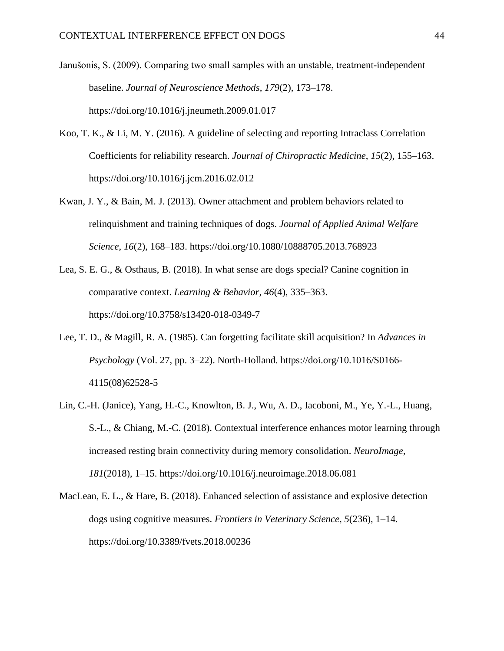- Janušonis, S. (2009). Comparing two small samples with an unstable, treatment-independent baseline. *Journal of Neuroscience Methods*, *179*(2), 173–178. https://doi.org/10.1016/j.jneumeth.2009.01.017
- Koo, T. K., & Li, M. Y. (2016). A guideline of selecting and reporting Intraclass Correlation Coefficients for reliability research. *Journal of Chiropractic Medicine*, *15*(2), 155–163. https://doi.org/10.1016/j.jcm.2016.02.012
- Kwan, J. Y., & Bain, M. J. (2013). Owner attachment and problem behaviors related to relinquishment and training techniques of dogs. *Journal of Applied Animal Welfare Science*, *16*(2), 168–183. https://doi.org/10.1080/10888705.2013.768923
- Lea, S. E. G., & Osthaus, B. (2018). In what sense are dogs special? Canine cognition in comparative context. *Learning & Behavior*, *46*(4), 335–363. https://doi.org/10.3758/s13420-018-0349-7
- Lee, T. D., & Magill, R. A. (1985). Can forgetting facilitate skill acquisition? In *Advances in Psychology* (Vol. 27, pp. 3–22). North-Holland. https://doi.org/10.1016/S0166- 4115(08)62528-5
- Lin, C.-H. (Janice), Yang, H.-C., Knowlton, B. J., Wu, A. D., Iacoboni, M., Ye, Y.-L., Huang, S.-L., & Chiang, M.-C. (2018). Contextual interference enhances motor learning through increased resting brain connectivity during memory consolidation. *NeuroImage*, *181*(2018), 1–15. https://doi.org/10.1016/j.neuroimage.2018.06.081
- MacLean, E. L., & Hare, B. (2018). Enhanced selection of assistance and explosive detection dogs using cognitive measures. *Frontiers in Veterinary Science*, *5*(236), 1–14. https://doi.org/10.3389/fvets.2018.00236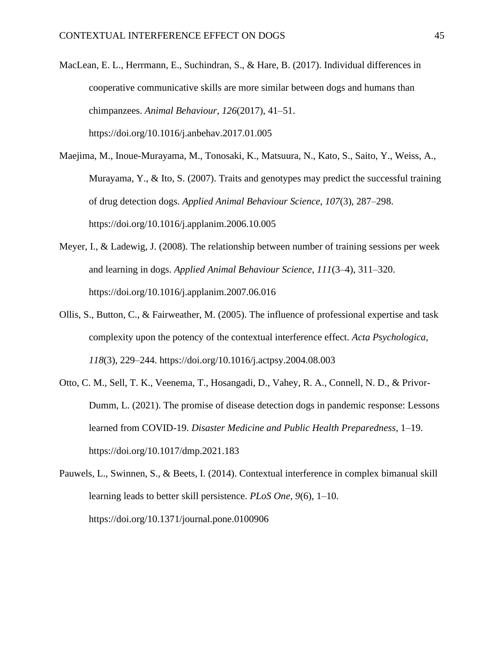- MacLean, E. L., Herrmann, E., Suchindran, S., & Hare, B. (2017). Individual differences in cooperative communicative skills are more similar between dogs and humans than chimpanzees. *Animal Behaviour*, *126*(2017), 41–51. https://doi.org/10.1016/j.anbehav.2017.01.005
- Maejima, M., Inoue-Murayama, M., Tonosaki, K., Matsuura, N., Kato, S., Saito, Y., Weiss, A., Murayama, Y., & Ito, S. (2007). Traits and genotypes may predict the successful training of drug detection dogs. *Applied Animal Behaviour Science*, *107*(3), 287–298. https://doi.org/10.1016/j.applanim.2006.10.005
- Meyer, I., & Ladewig, J. (2008). The relationship between number of training sessions per week and learning in dogs. *Applied Animal Behaviour Science*, *111*(3–4), 311–320. https://doi.org/10.1016/j.applanim.2007.06.016
- Ollis, S., Button, C., & Fairweather, M. (2005). The influence of professional expertise and task complexity upon the potency of the contextual interference effect. *Acta Psychologica*, *118*(3), 229–244. https://doi.org/10.1016/j.actpsy.2004.08.003
- Otto, C. M., Sell, T. K., Veenema, T., Hosangadi, D., Vahey, R. A., Connell, N. D., & Privor-Dumm, L. (2021). The promise of disease detection dogs in pandemic response: Lessons learned from COVID-19. *Disaster Medicine and Public Health Preparedness*, 1–19. https://doi.org/10.1017/dmp.2021.183
- Pauwels, L., Swinnen, S., & Beets, I. (2014). Contextual interference in complex bimanual skill learning leads to better skill persistence. *PLoS One*, *9*(6), 1–10. https://doi.org/10.1371/journal.pone.0100906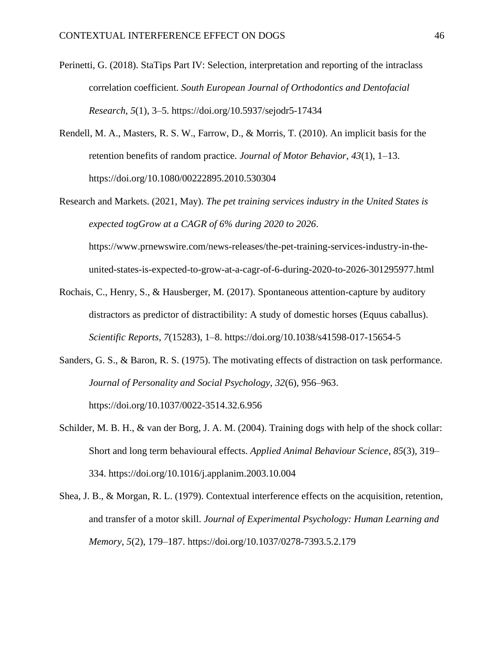- Perinetti, G. (2018). StaTips Part IV: Selection, interpretation and reporting of the intraclass correlation coefficient. *South European Journal of Orthodontics and Dentofacial Research*, *5*(1), 3–5. https://doi.org/10.5937/sejodr5-17434
- Rendell, M. A., Masters, R. S. W., Farrow, D., & Morris, T. (2010). An implicit basis for the retention benefits of random practice. *Journal of Motor Behavior*, *43*(1), 1–13. https://doi.org/10.1080/00222895.2010.530304
- Research and Markets. (2021, May). *The pet training services industry in the United States is expected togGrow at a CAGR of 6% during 2020 to 2026*.

https://www.prnewswire.com/news-releases/the-pet-training-services-industry-in-theunited-states-is-expected-to-grow-at-a-cagr-of-6-during-2020-to-2026-301295977.html

- Rochais, C., Henry, S., & Hausberger, M. (2017). Spontaneous attention-capture by auditory distractors as predictor of distractibility: A study of domestic horses (Equus caballus). *Scientific Reports*, *7*(15283), 1–8. https://doi.org/10.1038/s41598-017-15654-5
- Sanders, G. S., & Baron, R. S. (1975). The motivating effects of distraction on task performance. *Journal of Personality and Social Psychology*, *32*(6), 956–963. https://doi.org/10.1037/0022-3514.32.6.956
- Schilder, M. B. H., & van der Borg, J. A. M. (2004). Training dogs with help of the shock collar: Short and long term behavioural effects. *Applied Animal Behaviour Science*, *85*(3), 319– 334. https://doi.org/10.1016/j.applanim.2003.10.004
- Shea, J. B., & Morgan, R. L. (1979). Contextual interference effects on the acquisition, retention, and transfer of a motor skill. *Journal of Experimental Psychology: Human Learning and Memory*, *5*(2), 179–187. https://doi.org/10.1037/0278-7393.5.2.179